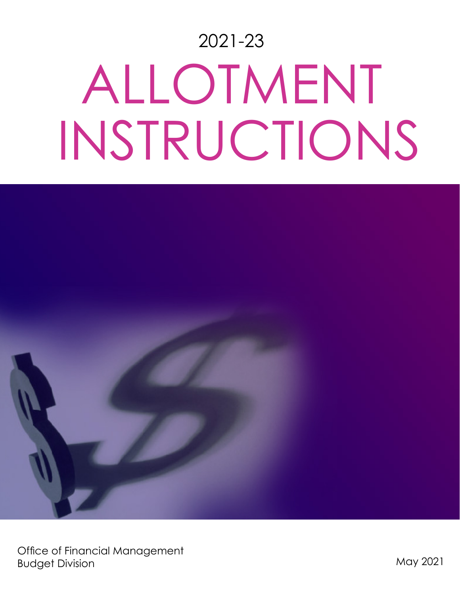# 2021-23 ALLOTMENT INSTRUCTIONS

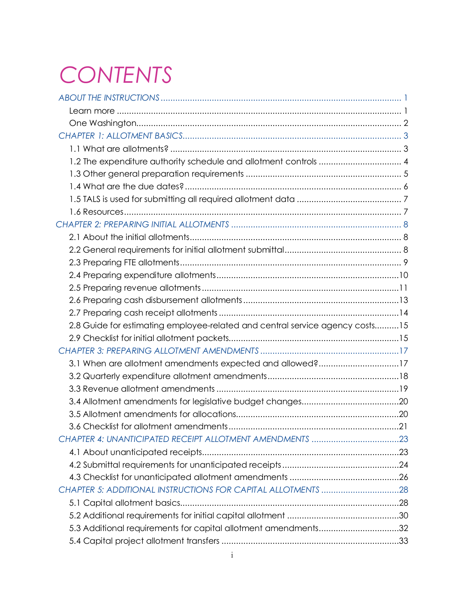# *CONTENTS*

| 1.2 The expenditure authority schedule and allotment controls  4             |  |
|------------------------------------------------------------------------------|--|
|                                                                              |  |
|                                                                              |  |
|                                                                              |  |
|                                                                              |  |
|                                                                              |  |
|                                                                              |  |
|                                                                              |  |
|                                                                              |  |
|                                                                              |  |
|                                                                              |  |
|                                                                              |  |
|                                                                              |  |
| 2.8 Guide for estimating employee-related and central service agency costs15 |  |
|                                                                              |  |
|                                                                              |  |
| 3.1 When are allotment amendments expected and allowed?17                    |  |
|                                                                              |  |
|                                                                              |  |
|                                                                              |  |
|                                                                              |  |
|                                                                              |  |
|                                                                              |  |
|                                                                              |  |
|                                                                              |  |
|                                                                              |  |
|                                                                              |  |
|                                                                              |  |
|                                                                              |  |
| 5.3 Additional requirements for capital allotment amendments32               |  |
|                                                                              |  |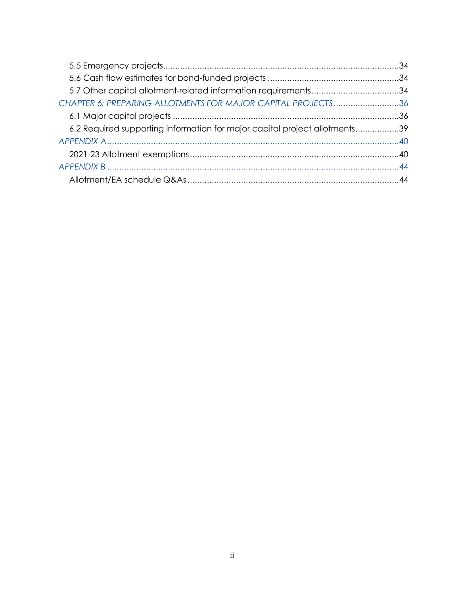| CHAPTER 6: PREPARING ALLOTMENTS FOR MAJOR CAPITAL PROJECTS36               |  |
|----------------------------------------------------------------------------|--|
|                                                                            |  |
| 6.2 Required supporting information for major capital project allotments39 |  |
|                                                                            |  |
|                                                                            |  |
|                                                                            |  |
|                                                                            |  |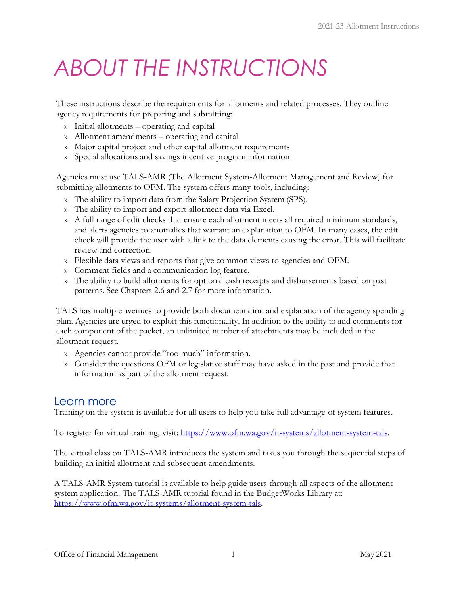# <span id="page-3-0"></span>*ABOUT THE INSTRUCTIONS*

These instructions describe the requirements for allotments and related processes. They outline agency requirements for preparing and submitting:

- » Initial allotments operating and capital
- » Allotment amendments operating and capital
- » Major capital project and other capital allotment requirements
- » Special allocations and savings incentive program information

Agencies must use TALS-AMR (The Allotment System-Allotment Management and Review) for submitting allotments to OFM. The system offers many tools, including:

- » The ability to import data from the Salary Projection System (SPS).
- » The ability to import and export allotment data via Excel.
- » A full range of edit checks that ensure each allotment meets all required minimum standards, and alerts agencies to anomalies that warrant an explanation to OFM. In many cases, the edit check will provide the user with a link to the data elements causing the error. This will facilitate review and correction.
- » Flexible data views and reports that give common views to agencies and OFM.
- » Comment fields and a communication log feature.
- » The ability to build allotments for optional cash receipts and disbursements based on past patterns. See Chapters 2.6 and 2.7 for more information.

TALS has multiple avenues to provide both documentation and explanation of the agency spending plan. Agencies are urged to exploit this functionality. In addition to the ability to add comments for each component of the packet, an unlimited number of attachments may be included in the allotment request.

- » Agencies cannot provide "too much" information.
- » Consider the questions OFM or legislative staff may have asked in the past and provide that information as part of the allotment request.

# <span id="page-3-1"></span>Learn more

Training on the system is available for all users to help you take full advantage of system features.

To register for virtual training, visit: [https://www.ofm.wa.gov/it-systems/allotment-system-tals.](https://www.ofm.wa.gov/it-systems/allotment-system-tals)

The virtual class on TALS-AMR introduces the system and takes you through the sequential steps of building an initial allotment and subsequent amendments.

A TALS-AMR System tutorial is available to help guide users through all aspects of the allotment system application. The TALS-AMR tutorial found in the BudgetWorks Library at: [https://www.ofm.wa.gov/it-systems/allotment-system-tals.](https://www.ofm.wa.gov/it-systems/allotment-system-tals)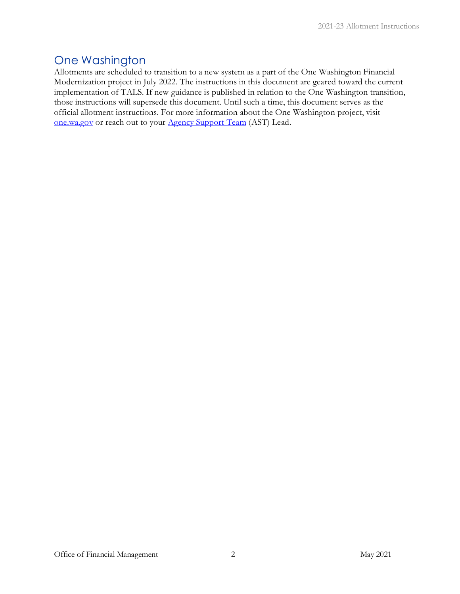# <span id="page-4-0"></span>One Washington

Allotments are scheduled to transition to a new system as a part of the One Washington Financial Modernization project in July 2022. The instructions in this document are geared toward the current implementation of TALS. If new guidance is published in relation to the One Washington transition, those instructions will supersede this document. Until such a time, this document serves as the official allotment instructions. For more information about the One Washington project, visit [one.wa.gov](https://one.wa.gov/) or reach out to your **Agency Support Team** (AST) Lead.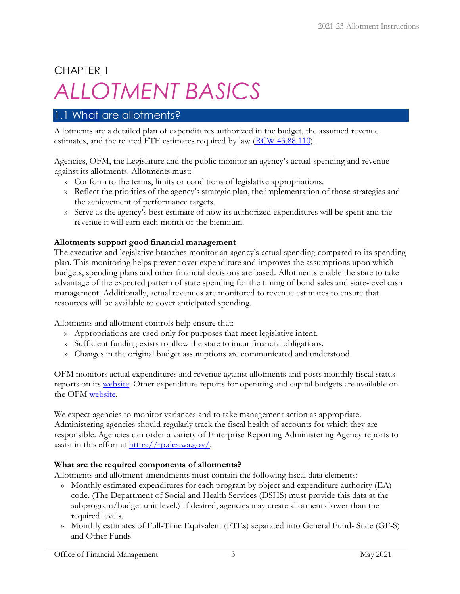# <span id="page-5-0"></span>CHAPTER 1 *ALLOTMENT BASICS*

# <span id="page-5-1"></span>1.1 What are allotments?

Allotments are a detailed plan of expenditures authorized in the budget, the assumed revenue estimates, and the related FTE estimates required by law [\(RCW 43.88.110\)](https://apps.leg.wa.gov/RCW/default.aspx?cite=43.88.110).

Agencies, OFM, the Legislature and the public monitor an agency's actual spending and revenue against its allotments. Allotments must:

- » Conform to the terms, limits or conditions of legislative appropriations.
- » Reflect the priorities of the agency's strategic plan, the implementation of those strategies and the achievement of performance targets.
- » Serve as the agency's best estimate of how its authorized expenditures will be spent and the revenue it will earn each month of the biennium.

#### **Allotments support good financial management**

The executive and legislative branches monitor an agency's actual spending compared to its spending plan. This monitoring helps prevent over expenditure and improves the assumptions upon which budgets, spending plans and other financial decisions are based. Allotments enable the state to take advantage of the expected pattern of state spending for the timing of bond sales and state-level cash management. Additionally, actual revenues are monitored to revenue estimates to ensure that resources will be available to cover anticipated spending.

Allotments and allotment controls help ensure that:

- » Appropriations are used only for purposes that meet legislative intent.
- » Sufficient funding exists to allow the state to incur financial obligations.
- » Changes in the original budget assumptions are communicated and understood.

OFM monitors actual expenditures and revenue against allotments and posts monthly fiscal status reports on its [website.](http://www.ofm.wa.gov/budget/fiscalstatus/default.asp) Other expenditure reports for operating and capital budgets are available on the OFM [website.](http://www.ofm.wa.gov/mondata/default.asp)

We expect agencies to monitor variances and to take management action as appropriate. Administering agencies should regularly track the fiscal health of accounts for which they are responsible. Agencies can order a variety of Enterprise Reporting Administering Agency reports to assist in this effort at  $\frac{https://rp.des.wa.gov/}{https://rp.des.wa.gov/}.$ 

#### **What are the required components of allotments?**

Allotments and allotment amendments must contain the following fiscal data elements:

- » Monthly estimated expenditures for each program by object and expenditure authority (EA) code. (The Department of Social and Health Services (DSHS) must provide this data at the subprogram/budget unit level.) If desired, agencies may create allotments lower than the required levels.
- » Monthly estimates of Full-Time Equivalent (FTEs) separated into General Fund- State (GF-S) and Other Funds.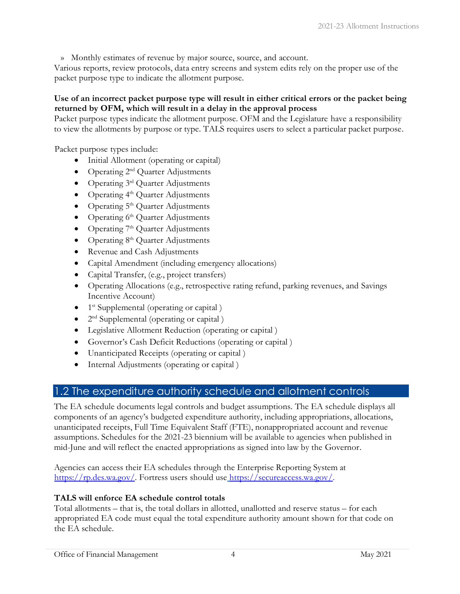» Monthly estimates of revenue by major source, source, and account.

Various reports, review protocols, data entry screens and system edits rely on the proper use of the packet purpose type to indicate the allotment purpose.

#### **Use of an incorrect packet purpose type will result in either critical errors or the packet being returned by OFM, which will result in a delay in the approval process**

Packet purpose types indicate the allotment purpose. OFM and the Legislature have a responsibility to view the allotments by purpose or type. TALS requires users to select a particular packet purpose.

Packet purpose types include:

- Initial Allotment (operating or capital)
- Operating 2<sup>nd</sup> Quarter Adjustments
- Operating 3<sup>rd</sup> Quarter Adjustments
- Operating  $4<sup>th</sup>$  Quarter Adjustments
- Operating 5<sup>th</sup> Quarter Adjustments
- Operating  $6<sup>th</sup>$  Quarter Adjustments
- Operating  $7<sup>th</sup>$  Quarter Adjustments
- Operating  $8<sup>th</sup>$  Quarter Adjustments
- Revenue and Cash Adjustments
- Capital Amendment (including emergency allocations)
- Capital Transfer, (e.g., project transfers)
- Operating Allocations (e.g., retrospective rating refund, parking revenues, and Savings Incentive Account)
- $\bullet$  1<sup>st</sup> Supplemental (operating or capital)
- 2<sup>nd</sup> Supplemental (operating or capital )
- Legislative Allotment Reduction (operating or capital )
- Governor's Cash Deficit Reductions (operating or capital)
- Unanticipated Receipts (operating or capital )
- Internal Adjustments (operating or capital)

# <span id="page-6-0"></span>1.2 The expenditure authority schedule and allotment controls

The EA schedule documents legal controls and budget assumptions. The EA schedule displays all components of an agency's budgeted expenditure authority, including appropriations, allocations, unanticipated receipts, Full Time Equivalent Staff (FTE), nonappropriated account and revenue assumptions. Schedules for the 2021-23 biennium will be available to agencies when published in mid-June and will reflect the enacted appropriations as signed into law by the Governor.

Agencies can access their EA schedules through the Enterprise Reporting System at [https://rp.des.wa.gov/.](https://rp.des.wa.gov/) Fortress users should use [https://secureaccess.wa.gov/.](file://filedepot.eclient.wa.lcl/OFM/Budget/Operations/Allotments/Allotment%20Instructions%20and%20Process%20docs/2019-21%20Allotment%20Instructions/%20)

#### **TALS will enforce EA schedule control totals**

Total allotments – that is, the total dollars in allotted, unallotted and reserve status – for each appropriated EA code must equal the total expenditure authority amount shown for that code on the EA schedule.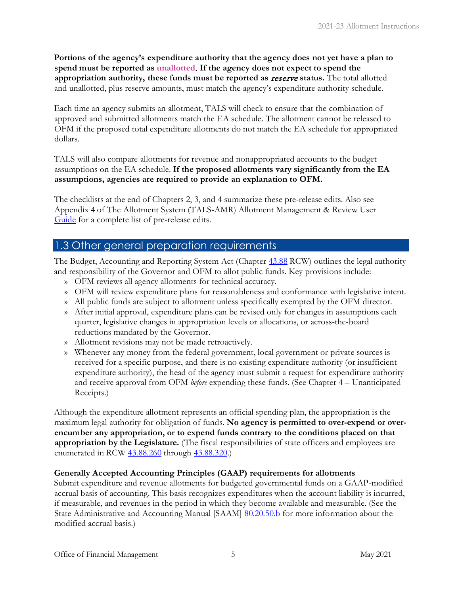**Portions of the agency's expenditure authority that the agency does not yet have a plan to spend must be reported as unallotted**. **If the agency does not expect to spend the appropriation authority, these funds must be reported as** reserve **status.** The total allotted and unallotted, plus reserve amounts, must match the agency's expenditure authority schedule.

Each time an agency submits an allotment, TALS will check to ensure that the combination of approved and submitted allotments match the EA schedule. The allotment cannot be released to OFM if the proposed total expenditure allotments do not match the EA schedule for appropriated dollars.

TALS will also compare allotments for revenue and nonappropriated accounts to the budget assumptions on the EA schedule. **If the proposed allotments vary significantly from the EA assumptions, agencies are required to provide an explanation to OFM.**

The checklists at the end of Chapters 2, 3, and 4 summarize these pre-release edits. Also see Appendix 4 of The Allotment System (TALS-AMR) Allotment Management & Review User [Guide](https://ofm.wa.gov/sites/default/files/public/itsystems/tals-amr/The%20Allotment%20System.pdf) [f](https://ofm.wa.gov/sites/default/files/public/itsystems/tals-amr/The%20Allotment%20System.pdf)or a complete list of pre-release edits.

## <span id="page-7-0"></span>1.3 Other general preparation requirements

The Budget, Accounting and Reporting System Act (Chapter [43.88](https://app.leg.wa.gov/RCW/default.aspx?cite=43.88) RCW) outlines the legal authority and responsibility of the Governor and OFM to allot public funds. Key provisions include:

- » OFM reviews all agency allotments for technical accuracy.
- » OFM will review expenditure plans for reasonableness and conformance with legislative intent.
- » All public funds are subject to allotment unless specifically exempted by the OFM director.
- » After initial approval, expenditure plans can be revised only for changes in assumptions each quarter, legislative changes in appropriation levels or allocations, or across-the-board reductions mandated by the Governor.
- » Allotment revisions may not be made retroactively.
- » Whenever any money from the federal government, local government or private sources is received for a specific purpose, and there is no existing expenditure authority (or insufficient expenditure authority), the head of the agency must submit a request for expenditure authority and receive approval from OFM *before* expending these funds. (See Chapter 4 – Unanticipated Receipts.)

Although the expenditure allotment represents an official spending plan, the appropriation is the maximum legal authority for obligation of funds. **No agency is permitted to over-expend or overencumber any appropriation, or to expend funds contrary to the conditions placed on that appropriation by the Legislature.** (The fiscal responsibilities of state officers and employees are enumerated in RCW [43.88.260](https://app.leg.wa.gov/RCW/default.aspx?cite=43.88.260) through [43.88.320.](https://app.leg.wa.gov/RCW/default.aspx?cite=43.88.310))

#### **Generally Accepted Accounting Principles (GAAP) requirements for allotments**

Submit expenditure and revenue allotments for budgeted governmental funds on a GAAP-modified accrual basis of accounting. This basis recognizes expenditures when the account liability is incurred, if measurable, and revenues in the period in which they become available and measurable. (See the State Administrative and Accounting Manual [SAAM] [80.20.50.b](http://ofm.wa.gov/policy/80.20.htm) [f](http://ofm.wa.gov/policy/80.20.htm)or more information about the modified accrual basis.)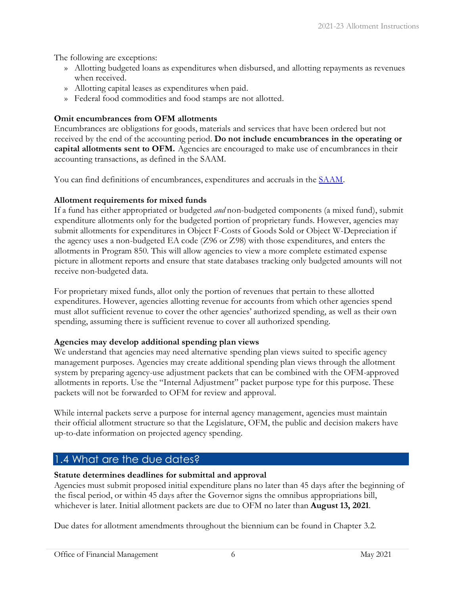The following are exceptions:

- » Allotting budgeted loans as expenditures when disbursed, and allotting repayments as revenues when received.
- » Allotting capital leases as expenditures when paid.
- » Federal food commodities and food stamps are not allotted.

#### **Omit encumbrances from OFM allotments**

Encumbrances are obligations for goods, materials and services that have been ordered but not received by the end of the accounting period. **Do not include encumbrances in the operating or capital allotments sent to OFM.** Agencies are encouraged to make use of encumbrances in their accounting transactions, as defined in the SAAM.

You can find definitions of encumbrances, expenditures and accruals in the [SAAM](http://www.ofm.wa.gov/policy/default.asp).

#### **Allotment requirements for mixed funds**

If a fund has either appropriated or budgeted *and* non-budgeted components (a mixed fund), submit expenditure allotments only for the budgeted portion of proprietary funds. However, agencies may submit allotments for expenditures in Object F-Costs of Goods Sold or Object W-Depreciation if the agency uses a non-budgeted EA code (Z96 or Z98) with those expenditures, and enters the allotments in Program 850. This will allow agencies to view a more complete estimated expense picture in allotment reports and ensure that state databases tracking only budgeted amounts will not receive non-budgeted data.

For proprietary mixed funds, allot only the portion of revenues that pertain to these allotted expenditures. However, agencies allotting revenue for accounts from which other agencies spend must allot sufficient revenue to cover the other agencies' authorized spending, as well as their own spending, assuming there is sufficient revenue to cover all authorized spending.

#### **Agencies may develop additional spending plan views**

We understand that agencies may need alternative spending plan views suited to specific agency management purposes. Agencies may create additional spending plan views through the allotment system by preparing agency-use adjustment packets that can be combined with the OFM-approved allotments in reports. Use the "Internal Adjustment" packet purpose type for this purpose. These packets will not be forwarded to OFM for review and approval.

While internal packets serve a purpose for internal agency management, agencies must maintain their official allotment structure so that the Legislature, OFM, the public and decision makers have up-to-date information on projected agency spending.

# <span id="page-8-0"></span>1.4 What are the due dates?

#### **Statute determines deadlines for submittal and approval**

Agencies must submit proposed initial expenditure plans no later than 45 days after the beginning of the fiscal period, or within 45 days after the Governor signs the omnibus appropriations bill, whichever is later. Initial allotment packets are due to OFM no later than **August 13, 2021**.

Due dates for allotment amendments throughout the biennium can be found in Chapter 3.2.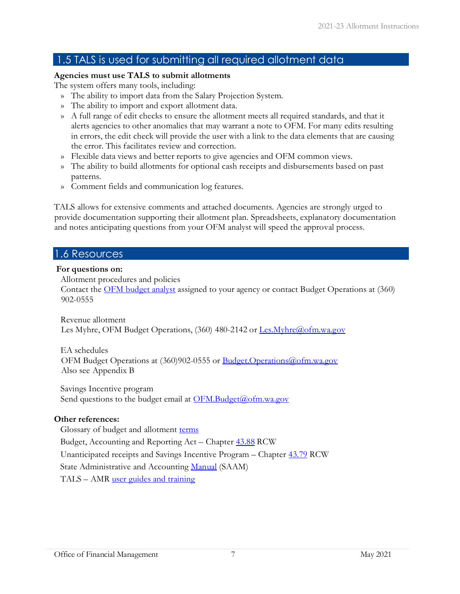# <span id="page-9-0"></span>1.5 TALS is used for submitting all required allotment data

#### **Agencies must use TALS to submit allotments**

The system offers many tools, including:

- » The ability to import data from the Salary Projection System.
- » The ability to import and export allotment data.
- » A full range of edit checks to ensure the allotment meets all required standards, and that it alerts agencies to other anomalies that may warrant a note to OFM. For many edits resulting in errors, the edit check will provide the user with a link to the data elements that are causing the error. This facilitates review and correction.
- » Flexible data views and better reports to give agencies and OFM common views.
- » The ability to build allotments for optional cash receipts and disbursements based on past patterns.
- » Comment fields and communication log features.

TALS allows for extensive comments and attached documents. Agencies are strongly urged to provide documentation supporting their allotment plan. Spreadsheets, explanatory documentation and notes anticipating questions from your OFM analyst will speed the approval process.

### <span id="page-9-1"></span>1.6 Resources

#### **For questions on:**

Allotment procedures and policies

Contact the [OFM budget analyst](http://www.ofm.wa.gov/budget/contacts/default.asp) assigned to your agency or contact Budget Operations at (360) 902-0555

Revenue allotment Les Myhre, OFM Budget Operations, (360) 480-2142 or [Les.Myhre@ofm.wa.gov](mailto:.mailto:Les.Myhre@ofm.wa.gov)

EA schedules OFM Budget Operations at (360)902-0555 or [Budget.Operations@ofm.wa.gov](mailto:Budget.Operations@ofm.wa.gov) Also see Appendix B

Savings Incentive program Send questions to the budget email at  $\overline{\text{OFM}.Budget(\omega) \text{ofm.wa.gov}}$ 

#### **Other references:**

Glossary of budget and allotment [terms](http://www.ofm.wa.gov/budget/instructions/glossary.pdf) Budget, Accounting and Reporting Act – Chapter [43.88](http://apps.leg.wa.gov/RCW/default.aspx?cite=43.88) RCW Unanticipated receipts and Savings Incentive Program – Chapter [43.79](http://apps.leg.wa.gov/RCW/default.aspx?cite=43.79) RCW State Administrative and Accounting [Manual](https://ofm.wa.gov/accounting/saam) (SAAM) TALS – AMR [user guides and training](https://ofm.wa.gov/it-systems/budget-and-legislative-systems/allotment-system-tals)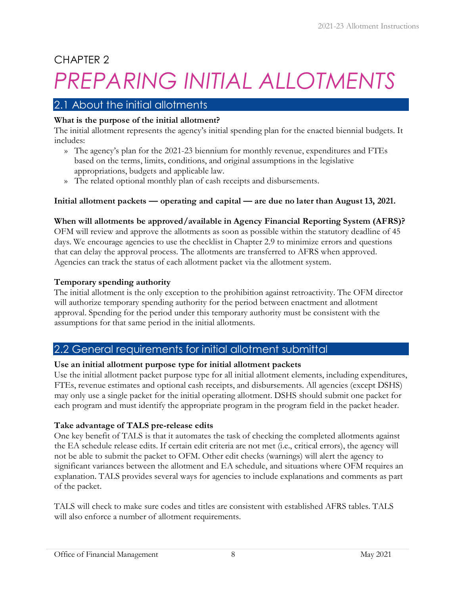# CHAPTER 2

# <span id="page-10-0"></span>*PREPARING INITIAL ALLOTMENTS*

# <span id="page-10-1"></span>2.1 About the initial allotments

#### **What is the purpose of the initial allotment?**

The initial allotment represents the agency's initial spending plan for the enacted biennial budgets. It includes:

- » The agency's plan for the 2021-23 biennium for monthly revenue, expenditures and FTEs based on the terms, limits, conditions, and original assumptions in the legislative appropriations, budgets and applicable law.
- » The related optional monthly plan of cash receipts and disbursements.

#### **Initial allotment packets — operating and capital — are due no later than August 13, 2021.**

#### **When will allotments be approved/available in Agency Financial Reporting System (AFRS)?**

OFM will review and approve the allotments as soon as possible within the statutory deadline of 45 days. We encourage agencies to use the checklist in Chapter 2.9 to minimize errors and questions that can delay the approval process. The allotments are transferred to AFRS when approved. Agencies can track the status of each allotment packet via the allotment system.

#### **Temporary spending authority**

The initial allotment is the only exception to the prohibition against retroactivity. The OFM director will authorize temporary spending authority for the period between enactment and allotment approval. Spending for the period under this temporary authority must be consistent with the assumptions for that same period in the initial allotments.

# <span id="page-10-2"></span>2.2 General requirements for initial allotment submittal

#### **Use an initial allotment purpose type for initial allotment packets**

Use the initial allotment packet purpose type for all initial allotment elements, including expenditures, FTEs, revenue estimates and optional cash receipts, and disbursements. All agencies (except DSHS) may only use a single packet for the initial operating allotment. DSHS should submit one packet for each program and must identify the appropriate program in the program field in the packet header.

#### **Take advantage of TALS pre-release edits**

One key benefit of TALS is that it automates the task of checking the completed allotments against the EA schedule release edits. If certain edit criteria are not met (i.e., critical errors), the agency will not be able to submit the packet to OFM. Other edit checks (warnings) will alert the agency to significant variances between the allotment and EA schedule, and situations where OFM requires an explanation. TALS provides several ways for agencies to include explanations and comments as part of the packet.

TALS will check to make sure codes and titles are consistent with established AFRS tables. TALS will also enforce a number of allotment requirements.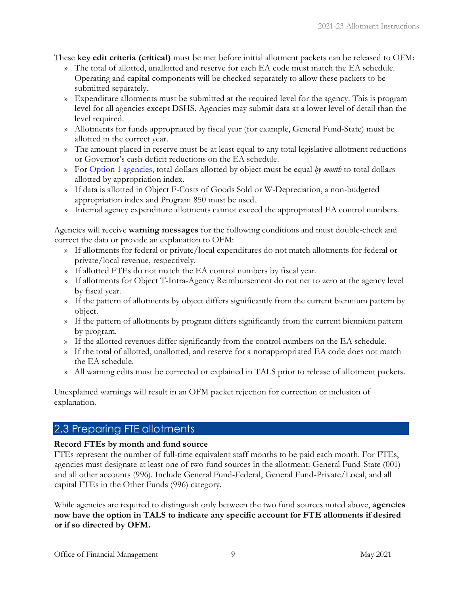These **key edit criteria (critical)** must be met before initial allotment packets can be released to OFM:

- » The total of allotted, unallotted and reserve for each EA code must match the EA schedule. Operating and capital components will be checked separately to allow these packets to be submitted separately.
- » Expenditure allotments must be submitted at the required level for the agency. This is program level for all agencies except DSHS. Agencies may submit data at a lower level of detail than the level required.
- » Allotments for funds appropriated by fiscal year (for example, General Fund-State) must be allotted in the correct year.
- » The amount placed in reserve must be at least equal to any total legislative allotment reductions or Governor's cash deficit reductions on the EA schedule.
- » Fo[r Option 1 agencies,](#page-46-1) total dollars allotted by object must be equal *by month* to total dollars allotted by appropriation index.
- » If data is allotted in Object F-Costs of Goods Sold or W-Depreciation, a non-budgeted appropriation index and Program 850 must be used.
- » Internal agency expenditure allotments cannot exceed the appropriated EA control numbers.

Agencies will receive **warning messages** for the following conditions and must double-check and correct the data or provide an explanation to OFM:

- » If allotments for federal or private/local expenditures do not match allotments for federal or private/local revenue, respectively.
- » If allotted FTEs do not match the EA control numbers by fiscal year.
- » If allotments for Object T-Intra-Agency Reimbursement do not net to zero at the agency level by fiscal year.
- » If the pattern of allotments by object differs significantly from the current biennium pattern by object.
- » If the pattern of allotments by program differs significantly from the current biennium pattern by program.
- » If the allotted revenues differ significantly from the control numbers on the EA schedule.
- » If the total of allotted, unallotted, and reserve for a nonappropriated EA code does not match the EA schedule.
- » All warning edits must be corrected or explained in TALS prior to release of allotment packets.

Unexplained warnings will result in an OFM packet rejection for correction or inclusion of explanation.

# <span id="page-11-0"></span>2.3 Preparing FTE allotments

#### **Record FTEs by month and fund source**

FTEs represent the number of full-time equivalent staff months to be paid each month. For FTEs, agencies must designate at least one of two fund sources in the allotment: General Fund-State (001) and all other accounts (996). Include General Fund-Federal, General Fund-Private/Local, and all capital FTEs in the Other Funds (996) category.

While agencies are required to distinguish only between the two fund sources noted above, **agencies now have the option in TALS to indicate any specific account for FTE allotments if desired or if so directed by OFM.**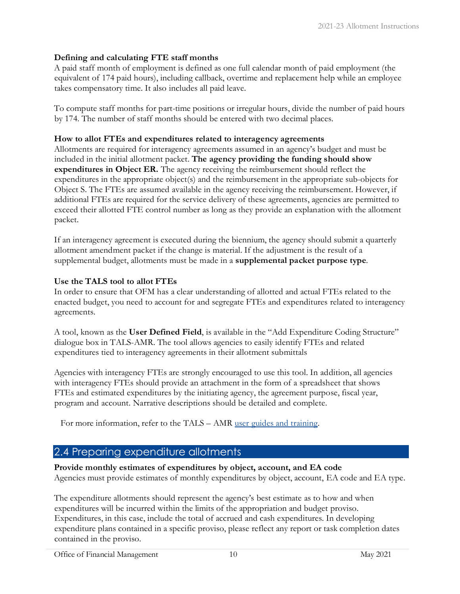#### **Defining and calculating FTE staff months**

A paid staff month of employment is defined as one full calendar month of paid employment (the equivalent of 174 paid hours), including callback, overtime and replacement help while an employee takes compensatory time. It also includes all paid leave.

To compute staff months for part-time positions or irregular hours, divide the number of paid hours by 174. The number of staff months should be entered with two decimal places.

#### **How to allot FTEs and expenditures related to interagency agreements**

Allotments are required for interagency agreements assumed in an agency's budget and must be included in the initial allotment packet. **The agency providing the funding should show expenditures in Object ER.** The agency receiving the reimbursement should reflect the expenditures in the appropriate object(s) and the reimbursement in the appropriate sub-objects for Object S. The FTEs are assumed available in the agency receiving the reimbursement. However, if additional FTEs are required for the service delivery of these agreements, agencies are permitted to exceed their allotted FTE control number as long as they provide an explanation with the allotment packet.

If an interagency agreement is executed during the biennium, the agency should submit a quarterly allotment amendment packet if the change is material. If the adjustment is the result of a supplemental budget, allotments must be made in a **supplemental packet purpose type**.

#### **Use the TALS tool to allot FTEs**

In order to ensure that OFM has a clear understanding of allotted and actual FTEs related to the enacted budget, you need to account for and segregate FTEs and expenditures related to interagency agreements.

A tool, known as the **User Defined Field**, is available in the "Add Expenditure Coding Structure" dialogue box in TALS-AMR. The tool allows agencies to easily identify FTEs and related expenditures tied to interagency agreements in their allotment submittals

Agencies with interagency FTEs are strongly encouraged to use this tool. In addition, all agencies with interagency FTEs should provide an attachment in the form of a spreadsheet that shows FTEs and estimated expenditures by the initiating agency, the agreement purpose, fiscal year, program and account. Narrative descriptions should be detailed and complete.

For more information, refer to the TALS – AMR [user guides and training.](https://ofm.wa.gov/it-systems/budget-and-legislative-systems/allotment-system-tals)

# <span id="page-12-0"></span>2.4 Preparing expenditure allotments

**Provide monthly estimates of expenditures by object, account, and EA code** 

Agencies must provide estimates of monthly expenditures by object, account, EA code and EA type.

The expenditure allotments should represent the agency's best estimate as to how and when expenditures will be incurred within the limits of the appropriation and budget proviso. Expenditures, in this case, include the total of accrued and cash expenditures. In developing expenditure plans contained in a specific proviso, please reflect any report or task completion dates contained in the proviso.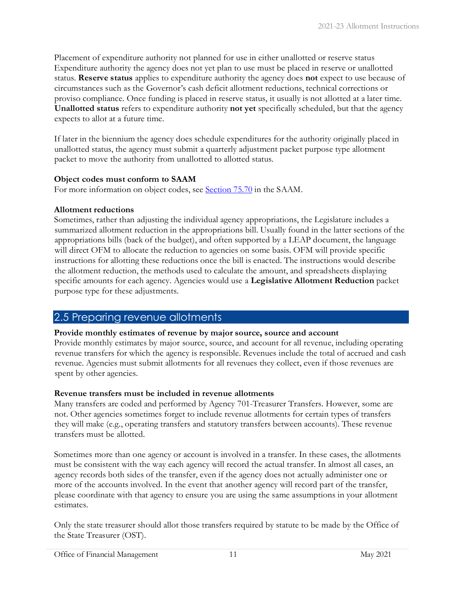Placement of expenditure authority not planned for use in either unallotted or reserve status Expenditure authority the agency does not yet plan to use must be placed in reserve or unallotted status. **Reserve status** applies to expenditure authority the agency does **not** expect to use because of circumstances such as the Governor's cash deficit allotment reductions, technical corrections or proviso compliance. Once funding is placed in reserve status, it usually is not allotted at a later time. **Unallotted status** refers to expenditure authority **not yet** specifically scheduled, but that the agency expects to allot at a future time.

If later in the biennium the agency does schedule expenditures for the authority originally placed in unallotted status, the agency must submit a quarterly adjustment packet purpose type allotment packet to move the authority from unallotted to allotted status.

#### **Object codes must conform to SAAM**

For more information on object codes, see [Section 75.70](http://www.ofm.wa.gov/policy/75.70.htm) [in](http://www.ofm.wa.gov/policy/75.70.htm) the SAAM.

#### **Allotment reductions**

Sometimes, rather than adjusting the individual agency appropriations, the Legislature includes a summarized allotment reduction in the appropriations bill. Usually found in the latter sections of the appropriations bills (back of the budget), and often supported by a LEAP document, the language will direct OFM to allocate the reduction to agencies on some basis. OFM will provide specific instructions for allotting these reductions once the bill is enacted. The instructions would describe the allotment reduction, the methods used to calculate the amount, and spreadsheets displaying specific amounts for each agency. Agencies would use a **Legislative Allotment Reduction** packet purpose type for these adjustments.

### <span id="page-13-0"></span>2.5 Preparing revenue allotments

#### **Provide monthly estimates of revenue by major source, source and account**

Provide monthly estimates by major source, source, and account for all revenue, including operating revenue transfers for which the agency is responsible. Revenues include the total of accrued and cash revenue. Agencies must submit allotments for all revenues they collect, even if those revenues are spent by other agencies.

#### **Revenue transfers must be included in revenue allotments**

Many transfers are coded and performed by Agency 701-Treasurer Transfers. However, some are not. Other agencies sometimes forget to include revenue allotments for certain types of transfers they will make (e.g., operating transfers and statutory transfers between accounts). These revenue transfers must be allotted.

Sometimes more than one agency or account is involved in a transfer. In these cases, the allotments must be consistent with the way each agency will record the actual transfer. In almost all cases, an agency records both sides of the transfer, even if the agency does not actually administer one or more of the accounts involved. In the event that another agency will record part of the transfer, please coordinate with that agency to ensure you are using the same assumptions in your allotment estimates.

Only the state treasurer should allot those transfers required by statute to be made by the Office of the State Treasurer (OST).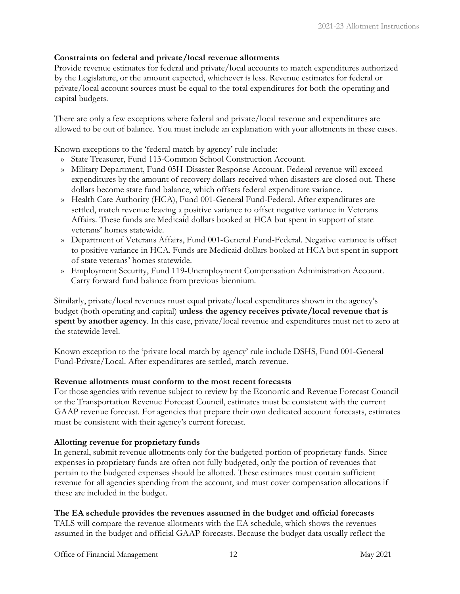#### **Constraints on federal and private/local revenue allotments**

Provide revenue estimates for federal and private/local accounts to match expenditures authorized by the Legislature, or the amount expected, whichever is less. Revenue estimates for federal or private/local account sources must be equal to the total expenditures for both the operating and capital budgets.

There are only a few exceptions where federal and private/local revenue and expenditures are allowed to be out of balance. You must include an explanation with your allotments in these cases.

Known exceptions to the 'federal match by agency' rule include:

- » State Treasurer, Fund 113-Common School Construction Account.
- » Military Department, Fund 05H-Disaster Response Account. Federal revenue will exceed expenditures by the amount of recovery dollars received when disasters are closed out. These dollars become state fund balance, which offsets federal expenditure variance.
- » Health Care Authority (HCA), Fund 001-General Fund-Federal. After expenditures are settled, match revenue leaving a positive variance to offset negative variance in Veterans Affairs. These funds are Medicaid dollars booked at HCA but spent in support of state veterans' homes statewide.
- » Department of Veterans Affairs, Fund 001-General Fund-Federal. Negative variance is offset to positive variance in HCA. Funds are Medicaid dollars booked at HCA but spent in support of state veterans' homes statewide.
- » Employment Security, Fund 119-Unemployment Compensation Administration Account. Carry forward fund balance from previous biennium.

Similarly, private/local revenues must equal private/local expenditures shown in the agency's budget (both operating and capital) **unless the agency receives private/local revenue that is spent by another agency**. In this case, private/local revenue and expenditures must net to zero at the statewide level.

Known exception to the 'private local match by agency' rule include DSHS, Fund 001-General Fund-Private/Local. After expenditures are settled, match revenue.

#### **Revenue allotments must conform to the most recent forecasts**

For those agencies with revenue subject to review by the Economic and Revenue Forecast Council or the Transportation Revenue Forecast Council, estimates must be consistent with the current GAAP revenue forecast. For agencies that prepare their own dedicated account forecasts, estimates must be consistent with their agency's current forecast.

#### **Allotting revenue for proprietary funds**

In general, submit revenue allotments only for the budgeted portion of proprietary funds. Since expenses in proprietary funds are often not fully budgeted, only the portion of revenues that pertain to the budgeted expenses should be allotted. These estimates must contain sufficient revenue for all agencies spending from the account, and must cover compensation allocations if these are included in the budget.

#### **The EA schedule provides the revenues assumed in the budget and official forecasts**

TALS will compare the revenue allotments with the EA schedule, which shows the revenues assumed in the budget and official GAAP forecasts. Because the budget data usually reflect the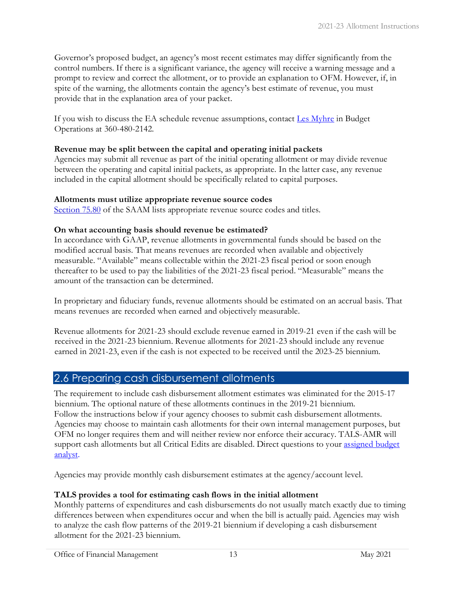Governor's proposed budget, an agency's most recent estimates may differ significantly from the control numbers. If there is a significant variance, the agency will receive a warning message and a prompt to review and correct the allotment, or to provide an explanation to OFM. However, if, in spite of the warning, the allotments contain the agency's best estimate of revenue, you must provide that in the explanation area of your packet.

If you wish to discuss the EA schedule revenue assumptions, contact [Les Myhre](mailto:Les.Myhre@ofm.wa.gov) in Budget Operations at 360-480-2142.

#### **Revenue may be split between the capital and operating initial packets**

Agencies may submit all revenue as part of the initial operating allotment or may divide revenue between the operating and capital initial packets, as appropriate. In the latter case, any revenue included in the capital allotment should be specifically related to capital purposes.

#### **Allotments must utilize appropriate revenue source codes**

[Section 75.80](http://www.ofm.wa.gov/policy/75.80.htm) [o](http://www.ofm.wa.gov/policy/75.80.htm)f the SAAM lists appropriate revenue source codes and titles.

#### **On what accounting basis should revenue be estimated?**

In accordance with GAAP, revenue allotments in governmental funds should be based on the modified accrual basis. That means revenues are recorded when available and objectively measurable. "Available" means collectable within the 2021-23 fiscal period or soon enough thereafter to be used to pay the liabilities of the 2021-23 fiscal period. "Measurable" means the amount of the transaction can be determined.

In proprietary and fiduciary funds, revenue allotments should be estimated on an accrual basis. That means revenues are recorded when earned and objectively measurable.

Revenue allotments for 2021-23 should exclude revenue earned in 2019-21 even if the cash will be received in the 2021-23 biennium. Revenue allotments for 2021-23 should include any revenue earned in 2021-23, even if the cash is not expected to be received until the 2023-25 biennium.

# <span id="page-15-0"></span>2.6 Preparing cash disbursement allotments

The requirement to include cash disbursement allotment estimates was eliminated for the 2015-17 biennium. The optional nature of these allotments continues in the 2019-21 biennium. Follow the instructions below if your agency chooses to submit cash disbursement allotments. Agencies may choose to maintain cash allotments for their own internal management purposes, but OFM no longer requires them and will neither review nor enforce their accuracy. TALS-AMR will support cash allotments but all Critical Edits are disabled. Direct questions to your [assigned](http://ofm.wa.gov/budget/contacts/default.asp) budget [analyst.](http://ofm.wa.gov/budget/contacts/default.asp) 

Agencies may provide monthly cash disbursement estimates at the agency/account level.

#### **TALS provides a tool for estimating cash flows in the initial allotment**

Monthly patterns of expenditures and cash disbursements do not usually match exactly due to timing differences between when expenditures occur and when the bill is actually paid. Agencies may wish to analyze the cash flow patterns of the 2019-21 biennium if developing a cash disbursement allotment for the 2021-23 biennium.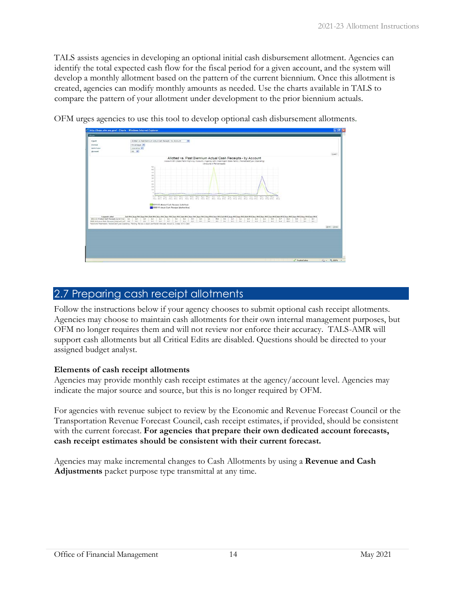TALS assists agencies in developing an optional initial cash disbursement allotment. Agencies can identify the total expected cash flow for the fiscal period for a given account, and the system will develop a monthly allotment based on the pattern of the current biennium. Once this allotment is created, agencies can modify monthly amounts as needed. Use the charts available in TALS to compare the pattern of your allotment under development to the prior biennium actuals.

|                                                                            | C http://bass.ofm.wa.gov/ - Charts - Windows Internet Explorer                                                                                                                                                                                                                                                                                                                                                                                                                                                                             | <b>CIE X</b> |
|----------------------------------------------------------------------------|--------------------------------------------------------------------------------------------------------------------------------------------------------------------------------------------------------------------------------------------------------------------------------------------------------------------------------------------------------------------------------------------------------------------------------------------------------------------------------------------------------------------------------------------|--------------|
| $\overline{\circ}$                                                         |                                                                                                                                                                                                                                                                                                                                                                                                                                                                                                                                            |              |
| Chart<br><b>Portriet</b><br><b>Quita Type</b>                              | Alctfod vs. Past Bannum Actual Cash Recepts / by Account<br>$\mathbf{v}$<br>Parcentages (M)<br>operating W.                                                                                                                                                                                                                                                                                                                                                                                                                                |              |
| Arrauet                                                                    | old Mr                                                                                                                                                                                                                                                                                                                                                                                                                                                                                                                                     | Lived:       |
|                                                                            | Allotted vs. Past Biennium Actual Cash Receipts - by Account<br>Account 001 (Data Renot Highway Account)   Agency 226 (Washington Data Renot)   Record ataType (Operating)<br>Livinguita in Percentages)                                                                                                                                                                                                                                                                                                                                   |              |
| <b>Engelet Label</b><br>2013-12 Allensed Cash Raceigns (sella line)   L.L. | $^{51}$<br>45<br>40<br>55<br>×<br>22<br>25<br>13<br>10<br>Any Say Oct Hoy Day Jay Fak Mar Apt May Jun Jul Aug Say Oct Now Day Jay Tab Mar Apt May Jun<br>Tart 1<br>12011-13 Abotted Cash Paceguts (cold from)<br>2000-11 Appal Cash Receipts (dashed live)<br>3d FF1 Aug FF1 Sup FF1 Oct FF1 Box FF1 Box FF1 Sup FF1 Sub FF1 Sub FF1 Sub FF1 Star FF1 Star FF1 Sub FF1 3d FF2 Aug FF2 Sup FF2 Oct FF2 Sur FF2 Sur FF2 Sur FF2 3Fax FF2 Star FF2 Sub FF2 Sub FF2 Sub FF2 Sur FF2 Sur FF2 Sur<br>쁞<br>2.0<br>14<br>$1 - 1$<br>쁝<br>课<br>3.9. |              |
| 2009:11 Autual Cash Receipts (deshed line) 2.8                             | 븒<br>쁞<br>쁞<br>쁖<br>븦<br>쁲<br>$\frac{44}{34}$<br>H H H H H H H H<br>显<br>3A<br>2.7<br>9.6<br>2.2<br>SASSAND Parameters, FanishTree Chevrolet: Renting, Review & Approval Fanish Street Artist D. Coner 4310, Debt                                                                                                                                                                                                                                                                                                                          | Don Dree     |
|                                                                            |                                                                                                                                                                                                                                                                                                                                                                                                                                                                                                                                            |              |
|                                                                            | J. Trusted sites                                                                                                                                                                                                                                                                                                                                                                                                                                                                                                                           | (2 + 气100% - |

OFM urges agencies to use this tool to develop optional cash disbursement allotments.

# <span id="page-16-0"></span>2.7 Preparing cash receipt allotments

Follow the instructions below if your agency chooses to submit optional cash receipt allotments. Agencies may choose to maintain cash allotments for their own internal management purposes, but OFM no longer requires them and will not review nor enforce their accuracy. TALS-AMR will support cash allotments but all Critical Edits are disabled. Questions should be directed to your [assigned budget analyst.](http://ofm.wa.gov/budget/contacts/default.asp)

#### **Elements of cash receipt allotments**

Agencies may provide monthly cash receipt estimates at the agency/account level. Agencies may indicate the major source and source, but this is no longer required by OFM.

For agencies with revenue subject to review by the Economic and Revenue Forecast Council or the Transportation Revenue Forecast Council, cash receipt estimates, if provided, should be consistent with the current forecast. For agencies that prepare their own dedicated account forecasts, **cash receipt estimates should be consistent with their current forecast.**

Agencies may make incremental changes to Cash Allotments by using a **Revenue and Cash Adjustments** packet purpose type transmittal at any time.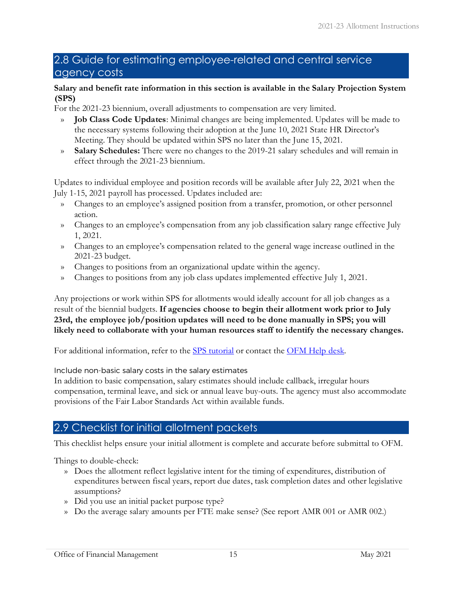# <span id="page-17-0"></span>2.8 Guide for estimating employee-related and central service agency costs

#### **Salary and benefit rate information in this section is available in the Salary Projection System (SPS)**

For the 2021-23 biennium, overall adjustments to compensation are very limited.

- » **Job Class Code Updates**: Minimal changes are being implemented. Updates will be made to the necessary systems following their adoption at the June 10, 2021 State HR Director's Meeting. They should be updated within SPS no later than the June 15, 2021.
- » **Salary Schedules:** There were no changes to the 2019-21 salary schedules and will remain in effect through the 2021-23 biennium.

Updates to individual employee and position records will be available after July 22, 2021 when the July 1-15, 2021 payroll has processed. Updates included are:

- » Changes to an employee's assigned position from a transfer, promotion, or other personnel action.
- » Changes to an employee's compensation from any job classification salary range effective July 1, 2021.
- » Changes to an employee's compensation related to the general wage increase outlined in the 2021-23 budget.
- » Changes to positions from an organizational update within the agency.
- » Changes to positions from any job class updates implemented effective July 1, 2021.

Any projections or work within SPS for allotments would ideally account for all job changes as a result of the biennial budgets. **If agencies choose to begin their allotment work prior to July 23rd, the employee job/position updates will need to be done manually in SPS; you will likely need to collaborate with your human resources staff to identify the necessary changes.**

For additional information, refer to the [SPS tutorial](https://ofm.wa.gov/sites/default/files/public/itsystems/sps/SPSBasicTutorial2020.pdf) [o](https://ofm.wa.gov/sites/default/files/public/itsystems/sps/SPSBasicTutorial2020.pdf)r contact the [OFM Help desk.](mailto:HereToHelp@ofm.wa.gov)

Include non-basic salary costs in the salary estimates

In addition to basic compensation, salary estimates should include callback, irregular hours compensation, terminal leave, and sick or annual leave buy-outs. The agency must also accommodate provisions of the Fair Labor Standards Act within available funds.

# <span id="page-17-1"></span>2.9 Checklist for initial allotment packets

This checklist helps ensure your initial allotment is complete and accurate before submittal to OFM.

Things to double-check:

- » Does the allotment reflect legislative intent for the timing of expenditures, distribution of expenditures between fiscal years, report due dates, task completion dates and other legislative assumptions?
- » Did you use an initial packet purpose type?
- » Do the average salary amounts per FTE make sense? (See report AMR 001 or AMR 002.)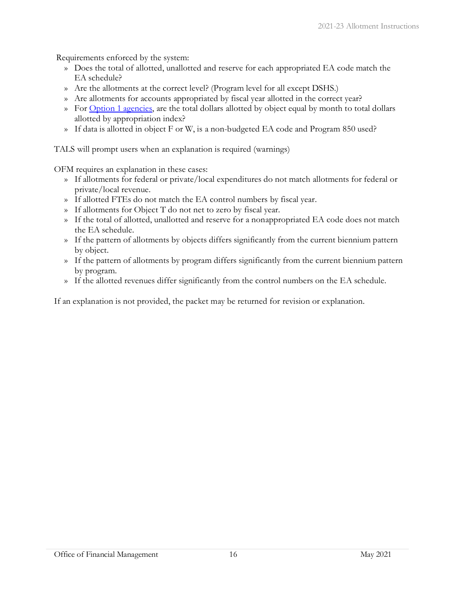Requirements enforced by the system:

- » Does the total of allotted, unallotted and reserve for each appropriated EA code match the EA schedule?
- » Are the allotments at the correct level? (Program level for all except DSHS.)
- » Are allotments for accounts appropriated by fiscal year allotted in the correct year?
- » For [Option 1 agencies,](#page-46-1) are the total dollars allotted by object equal by month to total dollars allotted by appropriation index?
- » If data is allotted in object F or W, is a non-budgeted EA code and Program 850 used?

TALS will prompt users when an explanation is required (warnings)

OFM requires an explanation in these cases:

- » If allotments for federal or private/local expenditures do not match allotments for federal or private/local revenue.
- » If allotted FTEs do not match the EA control numbers by fiscal year.
- » If allotments for Object T do not net to zero by fiscal year.
- » If the total of allotted, unallotted and reserve for a nonappropriated EA code does not match the EA schedule.
- » If the pattern of allotments by objects differs significantly from the current biennium pattern by object.
- » If the pattern of allotments by program differs significantly from the current biennium pattern by program.
- » If the allotted revenues differ significantly from the control numbers on the EA schedule.

If an explanation is not provided, the packet may be returned for revision or explanation.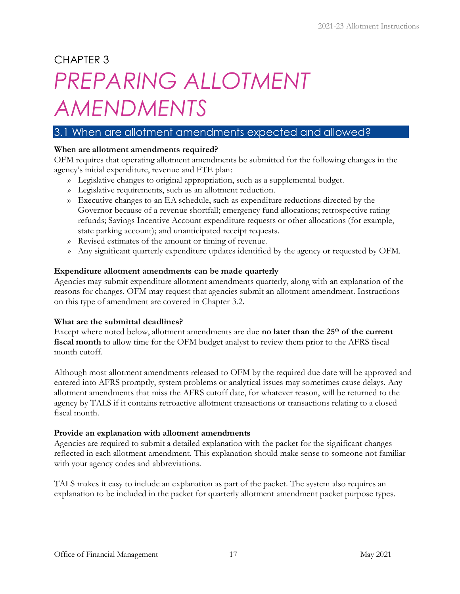# CHAPTER 3

# <span id="page-19-0"></span>*PREPARING ALLOTMENT AMENDMENTS*

# <span id="page-19-1"></span>3.1 When are allotment amendments expected and allowed?

#### **When are allotment amendments required?**

OFM requires that operating allotment amendments be submitted for the following changes in the agency's initial expenditure, revenue and FTE plan:

- » Legislative changes to original appropriation, such as a supplemental budget.
- » Legislative requirements, such as an allotment reduction.
- » Executive changes to an EA schedule, such as expenditure reductions directed by the Governor because of a revenue shortfall; emergency fund allocations; retrospective rating refunds; Savings Incentive Account expenditure requests or other allocations (for example, state parking account); and unanticipated receipt requests.
- » Revised estimates of the amount or timing of revenue.
- » Any significant quarterly expenditure updates identified by the agency or requested by OFM.

#### **Expenditure allotment amendments can be made quarterly**

Agencies may submit expenditure allotment amendments quarterly, along with an explanation of the reasons for changes. OFM may request that agencies submit an allotment amendment. Instructions on this type of amendment are covered in Chapter 3.2.

#### **What are the submittal deadlines?**

Except where noted below, allotment amendments are due **no later than the 25<sup>th</sup> of the current fiscal month** to allow time for the OFM budget analyst to review them prior to the AFRS fiscal month cutoff.

Although most allotment amendments released to OFM by the required due date will be approved and entered into AFRS promptly, system problems or analytical issues may sometimes cause delays. Any allotment amendments that miss the AFRS cutoff date, for whatever reason, will be returned to the agency by TALS if it contains retroactive allotment transactions or transactions relating to a closed fiscal month.

#### **Provide an explanation with allotment amendments**

Agencies are required to submit a detailed explanation with the packet for the significant changes reflected in each allotment amendment. This explanation should make sense to someone not familiar with your agency codes and abbreviations.

TALS makes it easy to include an explanation as part of the packet. The system also requires an explanation to be included in the packet for quarterly allotment amendment packet purpose types.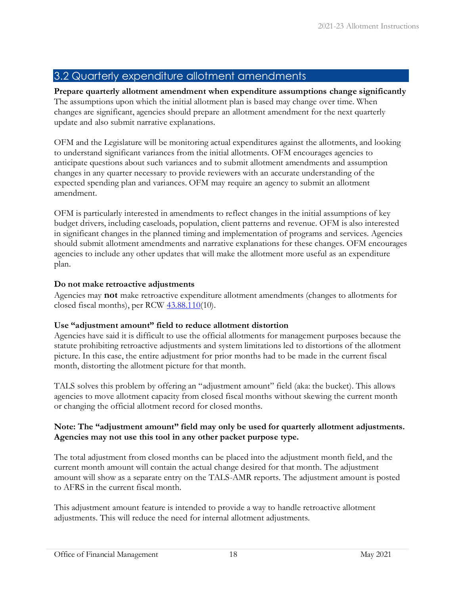## <span id="page-20-0"></span>3.2 Quarterly expenditure allotment amendments

**Prepare quarterly allotment amendment when expenditure assumptions change significantly**  The assumptions upon which the initial allotment plan is based may change over time. When changes are significant, agencies should prepare an allotment amendment for the next quarterly update and also submit narrative explanations.

OFM and the Legislature will be monitoring actual expenditures against the allotments, and looking to understand significant variances from the initial allotments. OFM encourages agencies to anticipate questions about such variances and to submit allotment amendments and assumption changes in any quarter necessary to provide reviewers with an accurate understanding of the expected spending plan and variances. OFM may require an agency to submit an allotment amendment.

OFM is particularly interested in amendments to reflect changes in the initial assumptions of key budget drivers, including caseloads, population, client patterns and revenue. OFM is also interested in significant changes in the planned timing and implementation of programs and services. Agencies should submit allotment amendments and narrative explanations for these changes. OFM encourages agencies to include any other updates that will make the allotment more useful as an expenditure plan.

#### **Do not make retroactive adjustments**

Agencies may **not** make retroactive expenditure allotment amendments (changes to allotments for closed fiscal months), per RCW  $43.88.110(10)$ .

#### **Use "adjustment amount" field to reduce allotment distortion**

Agencies have said it is difficult to use the official allotments for management purposes because the statute prohibiting retroactive adjustments and system limitations led to distortions of the allotment picture. In this case, the entire adjustment for prior months had to be made in the current fiscal month, distorting the allotment picture for that month.

TALS solves this problem by offering an "adjustment amount" field (aka: the bucket). This allows agencies to move allotment capacity from closed fiscal months without skewing the current month or changing the official allotment record for closed months.

#### **Note: The "adjustment amount" field may only be used for quarterly allotment adjustments. Agencies may not use this tool in any other packet purpose type.**

The total adjustment from closed months can be placed into the adjustment month field, and the current month amount will contain the actual change desired for that month. The adjustment amount will show as a separate entry on the TALS-AMR reports. The adjustment amount is posted to AFRS in the current fiscal month.

This adjustment amount feature is intended to provide a way to handle retroactive allotment adjustments. This will reduce the need for internal allotment adjustments.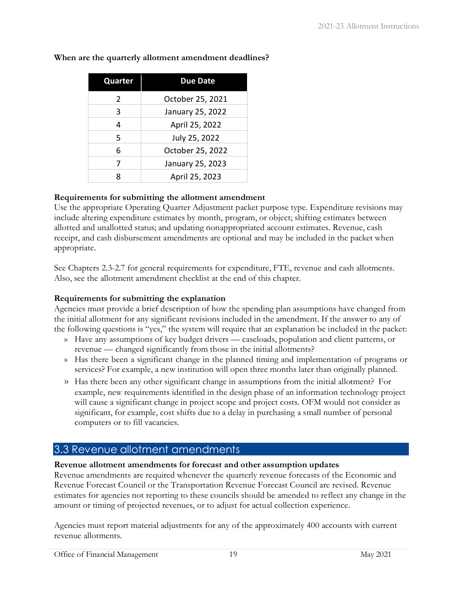| Quarter | <b>Due Date</b>  |
|---------|------------------|
| 2       | October 25, 2021 |
| 3       | January 25, 2022 |
| 4       | April 25, 2022   |
| 5       | July 25, 2022    |
| 6       | October 25, 2022 |
| 7       | January 25, 2023 |
| 8       | April 25, 2023   |

**When are the quarterly allotment amendment deadlines?** 

#### **Requirements for submitting the allotment amendment**

Use the appropriate Operating Quarter Adjustment packet purpose type. Expenditure revisions may include altering expenditure estimates by month, program, or object; shifting estimates between allotted and unallotted status; and updating nonappropriated account estimates. Revenue, cash receipt, and cash disbursement amendments are optional and may be included in the packet when appropriate.

See Chapters 2.3-2.7 for general requirements for expenditure, FTE, revenue and cash allotments. Also, see the allotment amendment checklist at the end of this chapter.

#### **Requirements for submitting the explanation**

Agencies must provide a brief description of how the spending plan assumptions have changed from the initial allotment for any significant revisions included in the amendment. If the answer to any of the following questions is "yes," the system will require that an explanation be included in the packet:

- » Have any assumptions of key budget drivers caseloads, population and client patterns, or revenue — changed significantly from those in the initial allotments?
- » Has there been a significant change in the planned timing and implementation of programs or services? For example, a new institution will open three months later than originally planned.
- » Has there been any other significant change in assumptions from the initial allotment? For example, new requirements identified in the design phase of an information technology project will cause a significant change in project scope and project costs. OFM would not consider as significant, for example, cost shifts due to a delay in purchasing a small number of personal computers or to fill vacancies.

### <span id="page-21-0"></span>3.3 Revenue allotment amendments

#### **Revenue allotment amendments for forecast and other assumption updates**

Revenue amendments are required whenever the quarterly revenue forecasts of the Economic and Revenue Forecast Council or the Transportation Revenue Forecast Council are revised. Revenue estimates for agencies not reporting to these councils should be amended to reflect any change in the amount or timing of projected revenues, or to adjust for actual collection experience.

Agencies must report material adjustments for any of the approximately 400 accounts with current revenue allotments.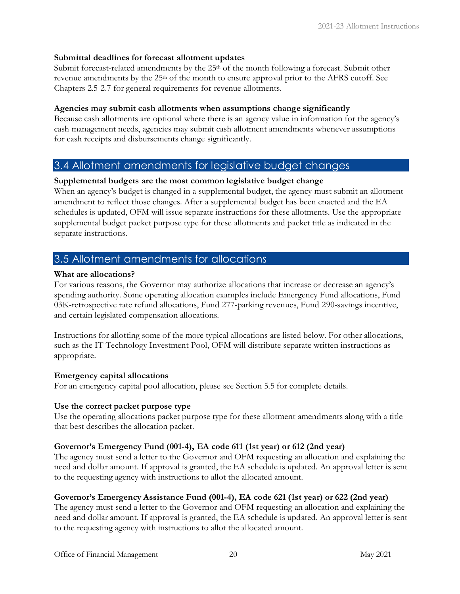#### **Submittal deadlines for forecast allotment updates**

Submit forecast-related amendments by the  $25<sup>th</sup>$  of the month following a forecast. Submit other revenue amendments by the 25th of the month to ensure approval prior to the AFRS cutoff. See Chapters 2.5-2.7 for general requirements for revenue allotments.

#### **Agencies may submit cash allotments when assumptions change significantly**

Because cash allotments are optional where there is an agency value in information for the agency's cash management needs, agencies may submit cash allotment amendments whenever assumptions for cash receipts and disbursements change significantly.

## <span id="page-22-0"></span>3.4 Allotment amendments for legislative budget changes

#### **Supplemental budgets are the most common legislative budget change**

When an agency's budget is changed in a supplemental budget, the agency must submit an allotment amendment to reflect those changes. After a supplemental budget has been enacted and the EA schedules is updated, OFM will issue separate instructions for these allotments. Use the appropriate supplemental budget packet purpose type for these allotments and packet title as indicated in the separate instructions.

# <span id="page-22-1"></span>3.5 Allotment amendments for allocations

#### **What are allocations?**

For various reasons, the Governor may authorize allocations that increase or decrease an agency's spending authority. Some operating allocation examples include Emergency Fund allocations, Fund 03K-retrospective rate refund allocations, Fund 277-parking revenues, Fund 290-savings incentive, and certain legislated compensation allocations.

Instructions for allotting some of the more typical allocations are listed below. For other allocations, such as the IT Technology Investment Pool, OFM will distribute separate written instructions as appropriate.

#### **Emergency capital allocations**

For an emergency capital pool allocation, please see Section 5.5 for complete details.

#### **Use the correct packet purpose type**

Use the operating allocations packet purpose type for these allotment amendments along with a title that best describes the allocation packet.

#### **Governor's Emergency Fund (001-4), EA code 611 (1st year) or 612 (2nd year)**

The agency must send a letter to the Governor and OFM requesting an allocation and explaining the need and dollar amount. If approval is granted, the EA schedule is updated. An approval letter is sent to the requesting agency with instructions to allot the allocated amount.

#### **Governor's Emergency Assistance Fund (001-4), EA code 621 (1st year) or 622 (2nd year)**

The agency must send a letter to the Governor and OFM requesting an allocation and explaining the need and dollar amount. If approval is granted, the EA schedule is updated. An approval letter is sent to the requesting agency with instructions to allot the allocated amount.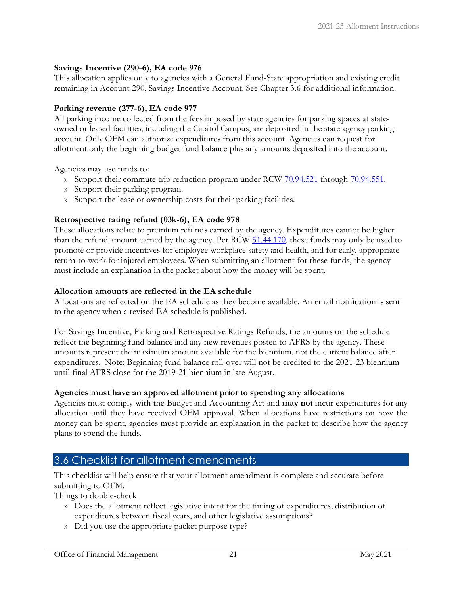#### **Savings Incentive (290-6), EA code 976**

This allocation applies only to agencies with a General Fund-State appropriation and existing credit remaining in Account 290, Savings Incentive Account. See Chapter 3.6 for additional information.

#### **Parking revenue (277-6), EA code 977**

All parking income collected from the fees imposed by state agencies for parking spaces at stateowned or leased facilities, including the Capitol Campus, are deposited in the state agency parking account. Only OFM can authorize expenditures from this account. Agencies can request for allotment only the beginning budget fund balance plus any amounts deposited into the account.

Agencies may use funds to:

- » Support their commute trip reduction program under RCW [70.94.521](https://app.leg.wa.gov/RCW/default.aspx?cite=70.94.521) through [70.94.551.](https://app.leg.wa.gov/RCW/default.aspx?cite=70.94.551)
- » Support their parking program.
- » Support the lease or ownership costs for their parking facilities.

#### **Retrospective rating refund (03k-6), EA code 978**

These allocations relate to premium refunds earned by the agency. Expenditures cannot be higher than the refund amount earned by the agency. Per RCW [51.44.170,](https://app.leg.wa.gov/RCW/default.aspx?cite=51.44.170) these funds may only be used to promote or provide incentives for employee workplace safety and health, and for early, appropriate return-to-work for injured employees. When submitting an allotment for these funds, the agency must include an explanation in the packet about how the money will be spent.

#### **Allocation amounts are reflected in the EA schedule**

Allocations are reflected on the EA schedule as they become available. An email notification is sent to the agency when a revised EA schedule is published.

For Savings Incentive, Parking and Retrospective Ratings Refunds, the amounts on the schedule reflect the beginning fund balance and any new revenues posted to AFRS by the agency. These amounts represent the maximum amount available for the biennium, not the current balance after expenditures. Note: Beginning fund balance roll-over will not be credited to the 2021-23 biennium until final AFRS close for the 2019-21 biennium in late August.

#### **Agencies must have an approved allotment prior to spending any allocations**

Agencies must comply with the Budget and Accounting Act and **may not** incur expenditures for any allocation until they have received OFM approval. When allocations have restrictions on how the money can be spent, agencies must provide an explanation in the packet to describe how the agency plans to spend the funds.

# <span id="page-23-0"></span>3.6 Checklist for allotment amendments

This checklist will help ensure that your allotment amendment is complete and accurate before submitting to OFM.

Things to double-check

- » Does the allotment reflect legislative intent for the timing of expenditures, distribution of expenditures between fiscal years, and other legislative assumptions?
- » Did you use the appropriate packet purpose type?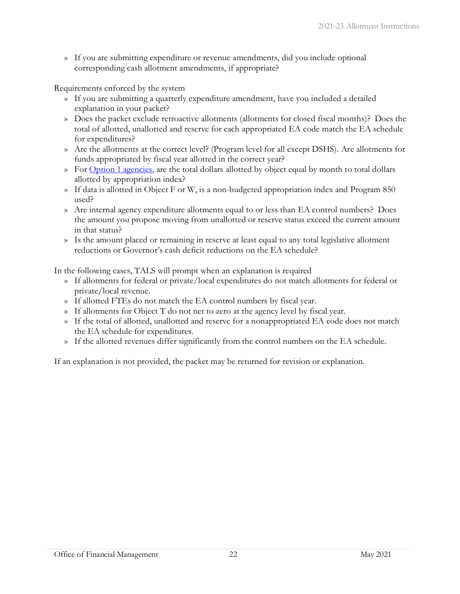» If you are submitting expenditure or revenue amendments, did you include optional corresponding cash allotment amendments, if appropriate?

Requirements enforced by the system

- » If you are submitting a quarterly expenditure amendment, have you included a detailed explanation in your packet?
- » Does the packet exclude retroactive allotments (allotments for closed fiscal months)? Does the total of allotted, unallotted and reserve for each appropriated EA code match the EA schedule for expenditures?
- » Are the allotments at the correct level? (Program level for all except DSHS). Are allotments for funds appropriated by fiscal year allotted in the correct year?
- » For [Option 1 agencies,](#page-46-1) are the total dollars allotted by object equal by month to total dollars allotted by appropriation index?
- » If data is allotted in Object F or W, is a non-budgeted appropriation index and Program 850 used?
- » Are internal agency expenditure allotments equal to or less than EA control numbers? Does the amount you propose moving from unallotted or reserve status exceed the current amount in that status?
- » Is the amount placed or remaining in reserve at least equal to any total legislative allotment reductions or Governor's cash deficit reductions on the EA schedule?

In the following cases, TALS will prompt when an explanation is required

- » If allotments for federal or private/local expenditures do not match allotments for federal or private/local revenue.
- » If allotted FTEs do not match the EA control numbers by fiscal year.
- » If allotments for Object T do not net to zero at the agency level by fiscal year.
- » If the total of allotted, unallotted and reserve for a nonappropriated EA code does not match the EA schedule for expenditures.
- » If the allotted revenues differ significantly from the control numbers on the EA schedule.

If an explanation is not provided, the packet may be returned for revision or explanation.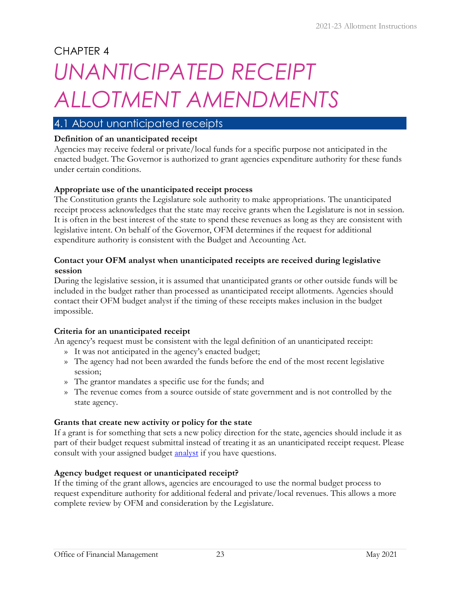# <span id="page-25-0"></span>CHAPTER 4 *UNANTICIPATED RECEIPT ALLOTMENT AMENDMENTS*

# <span id="page-25-1"></span>4.1 About unanticipated receipts

#### **Definition of an unanticipated receipt**

Agencies may receive federal or private/local funds for a specific purpose not anticipated in the enacted budget. The Governor is authorized to grant agencies expenditure authority for these funds under certain conditions.

#### **Appropriate use of the unanticipated receipt process**

The Constitution grants the Legislature sole authority to make appropriations. The unanticipated receipt process acknowledges that the state may receive grants when the Legislature is not in session. It is often in the best interest of the state to spend these revenues as long as they are consistent with legislative intent. On behalf of the Governor, OFM determines if the request for additional expenditure authority is consistent with the Budget and Accounting Act.

#### **Contact your OFM analyst when unanticipated receipts are received during legislative session**

During the legislative session, it is assumed that unanticipated grants or other outside funds will be included in the budget rather than processed as unanticipated receipt allotments. Agencies should contact their OFM budget analyst if the timing of these receipts makes inclusion in the budget impossible.

#### **Criteria for an unanticipated receipt**

An agency's request must be consistent with the legal definition of an unanticipated receipt:

- » It was not anticipated in the agency's enacted budget;
- » The agency had not been awarded the funds before the end of the most recent legislative session;
- » The grantor mandates a specific use for the funds; and
- » The revenue comes from a source outside of state government and is not controlled by the state agency.

#### **Grants that create new activity or policy for the state**

If a grant is for something that sets a new policy direction for the state, agencies should include it as part of their budget request submittal instead of treating it as an unanticipated receipt request. Please consult with your assigned budget **analyst** if you have questions.

#### **Agency budget request or unanticipated receipt?**

If the timing of the grant allows, agencies are encouraged to use the normal budget process to request expenditure authority for additional federal and private/local revenues. This allows a more complete review by OFM and consideration by the Legislature.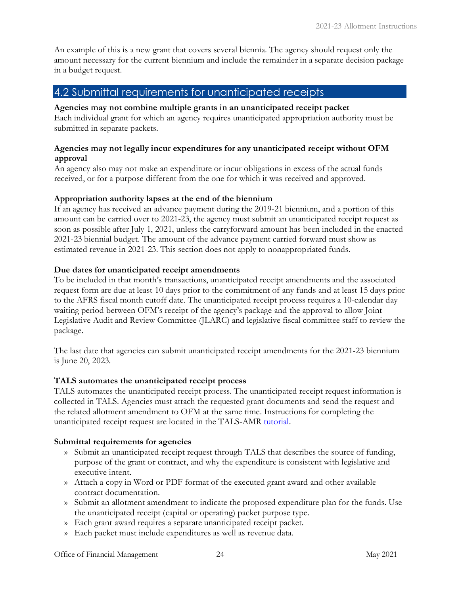An example of this is a new grant that covers several biennia. The agency should request only the amount necessary for the current biennium and include the remainder in a separate decision package in a budget request.

### <span id="page-26-0"></span>4.2 Submittal requirements for unanticipated receipts

#### **Agencies may not combine multiple grants in an unanticipated receipt packet**

Each individual grant for which an agency requires unanticipated appropriation authority must be submitted in separate packets.

#### **Agencies may not legally incur expenditures for any unanticipated receipt without OFM approval**

An agency also may not make an expenditure or incur obligations in excess of the actual funds received, or for a purpose different from the one for which it was received and approved.

#### **Appropriation authority lapses at the end of the biennium**

If an agency has received an advance payment during the 2019-21 biennium, and a portion of this amount can be carried over to 2021-23, the agency must submit an unanticipated receipt request as soon as possible after July 1, 2021, unless the carryforward amount has been included in the enacted 2021-23 biennial budget. The amount of the advance payment carried forward must show as estimated revenue in 2021-23. This section does not apply to nonappropriated funds.

#### **Due dates for unanticipated receipt amendments**

To be included in that month's transactions, unanticipated receipt amendments and the associated request form are due at least 10 days prior to the commitment of any funds and at least 15 days prior to the AFRS fiscal month cutoff date. The unanticipated receipt process requires a 10-calendar day waiting period between OFM's receipt of the agency's package and the approval to allow Joint Legislative Audit and Review Committee (JLARC) and legislative fiscal committee staff to review the package.

The last date that agencies can submit unanticipated receipt amendments for the 2021-23 biennium is June 20, 2023.

#### **TALS automates the unanticipated receipt process**

TALS automates the unanticipated receipt process. The unanticipated receipt request information is collected in TALS. Agencies must attach the requested grant documents and send the request and the related allotment amendment to OFM at the same time. Instructions for completing the unanticipated receipt request are located in the TALS-AMR [tutorial.](https://budgetlogon.ofm.wa.gov/library/TALS_AMR_Tutorial.pdf)

#### **Submittal requirements for agencies**

- » Submit an unanticipated receipt request through TALS that describes the source of funding, purpose of the grant or contract, and why the expenditure is consistent with legislative and executive intent.
- » Attach a copy in Word or PDF format of the executed grant award and other available contract documentation.
- » Submit an allotment amendment to indicate the proposed expenditure plan for the funds. Use the unanticipated receipt (capital or operating) packet purpose type.
- » Each grant award requires a separate unanticipated receipt packet.
- » Each packet must include expenditures as well as revenue data.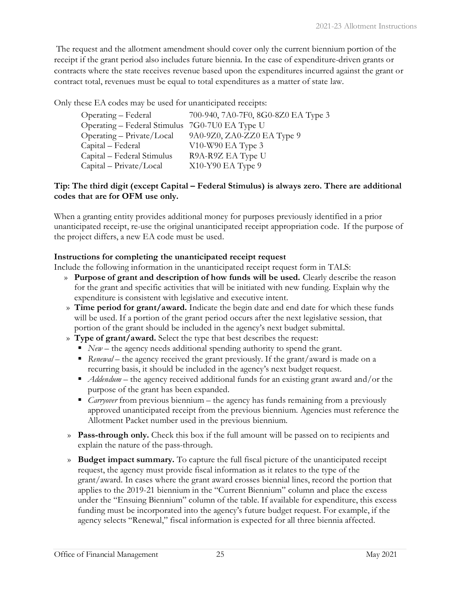The request and the allotment amendment should cover only the current biennium portion of the receipt if the grant period also includes future biennia. In the case of expenditure-driven grants or contracts where the state receives revenue based upon the expenditures incurred against the grant or contract total, revenues must be equal to total expenditures as a matter of state law.

Only these EA codes may be used for unanticipated receipts:

| Operating – Federal                            | 700-940, 7A0-7F0, 8G0-8Z0 EA Type 3 |
|------------------------------------------------|-------------------------------------|
| Operating – Federal Stimulus 7G0-7U0 EA Type U |                                     |
| $Operating - Private/Local$                    | 9A0-9Z0, ZA0-ZZ0 EA Type 9          |
| Capital - Federal                              | $V10-W90$ EA Type 3                 |
| Capital – Federal Stimulus                     | R9A-R9Z EA Type U                   |
| Capital - Private/Local                        | X10-Y90 EA Type 9                   |

#### **Tip: The third digit (except Capital – Federal Stimulus) is always zero. There are additional codes that are for OFM use only.**

When a granting entity provides additional money for purposes previously identified in a prior unanticipated receipt, re-use the original unanticipated receipt appropriation code. If the purpose of the project differs, a new EA code must be used.

#### **Instructions for completing the unanticipated receipt request**

Include the following information in the unanticipated receipt request form in TALS:

- » **Purpose of grant and description of how funds will be used.** Clearly describe the reason for the grant and specific activities that will be initiated with new funding. Explain why the expenditure is consistent with legislative and executive intent.
- » **Time period for grant/award.** Indicate the begin date and end date for which these funds will be used. If a portion of the grant period occurs after the next legislative session, that portion of the grant should be included in the agency's next budget submittal.
- » **Type of grant/award.** Select the type that best describes the request:
	- *New* the agency needs additional spending authority to spend the grant.
	- *Renewal* the agency received the grant previously. If the grant/award is made on a recurring basis, it should be included in the agency's next budget request.
	- *Addendum* the agency received additional funds for an existing grant award and/or the purpose of the grant has been expanded.
	- *Carryover* from previous biennium the agency has funds remaining from a previously approved unanticipated receipt from the previous biennium. Agencies must reference the Allotment Packet number used in the previous biennium.
- » **Pass-through only.** Check this box if the full amount will be passed on to recipients and explain the nature of the pass-through.
- » **Budget impact summary.** To capture the full fiscal picture of the unanticipated receipt request, the agency must provide fiscal information as it relates to the type of the grant/award. In cases where the grant award crosses biennial lines, record the portion that applies to the 2019-21 biennium in the "Current Biennium" column and place the excess under the "Ensuing Biennium" column of the table. If available for expenditure, this excess funding must be incorporated into the agency's future budget request. For example, if the agency selects "Renewal," fiscal information is expected for all three biennia affected.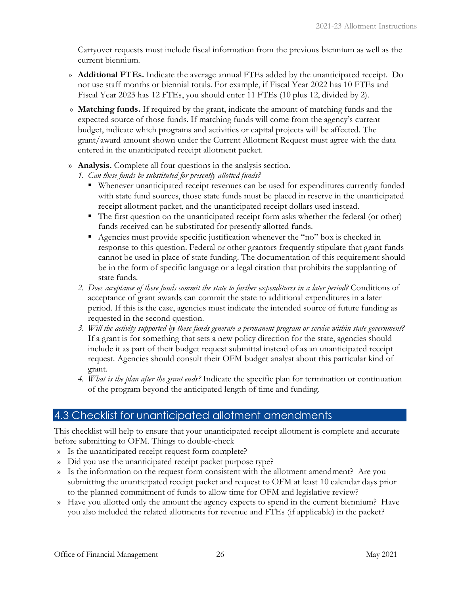Carryover requests must include fiscal information from the previous biennium as well as the current biennium.

- » **Additional FTEs.** Indicate the average annual FTEs added by the unanticipated receipt. Do not use staff months or biennial totals. For example, if Fiscal Year 2022 has 10 FTEs and Fiscal Year 2023 has 12 FTEs, you should enter 11 FTEs (10 plus 12, divided by 2).
- » **Matching funds.** If required by the grant, indicate the amount of matching funds and the expected source of those funds. If matching funds will come from the agency's current budget, indicate which programs and activities or capital projects will be affected. The grant/award amount shown under the Current Allotment Request must agree with the data entered in the unanticipated receipt allotment packet.
- » **Analysis.** Complete all four questions in the analysis section.
	- *1. Can these funds be substituted for presently allotted funds?* 
		- Whenever unanticipated receipt revenues can be used for expenditures currently funded with state fund sources, those state funds must be placed in reserve in the unanticipated receipt allotment packet, and the unanticipated receipt dollars used instead.
		- The first question on the unanticipated receipt form asks whether the federal (or other) funds received can be substituted for presently allotted funds.
		- Agencies must provide specific justification whenever the "no" box is checked in response to this question. Federal or other grantors frequently stipulate that grant funds cannot be used in place of state funding. The documentation of this requirement should be in the form of specific language or a legal citation that prohibits the supplanting of state funds.
	- *2. Does acceptance of these funds commit the state to further expenditures in a later period?* Conditions of acceptance of grant awards can commit the state to additional expenditures in a later period. If this is the case, agencies must indicate the intended source of future funding as requested in the second question.
	- *3. Will the activity supported by these funds generate a permanent program or service within state government?* If a grant is for something that sets a new policy direction for the state, agencies should include it as part of their budget request submittal instead of as an unanticipated receipt request. Agencies should consult their OFM budget analyst about this particular kind of grant.
	- *4. What is the plan after the grant ends?* Indicate the specific plan for termination or continuation of the program beyond the anticipated length of time and funding.

# <span id="page-28-0"></span>4.3 Checklist for unanticipated allotment amendments

This checklist will help to ensure that your unanticipated receipt allotment is complete and accurate before submitting to OFM. Things to double-check

- » Is the unanticipated receipt request form complete?
- » Did you use the unanticipated receipt packet purpose type?
- » Is the information on the request form consistent with the allotment amendment? Are you submitting the unanticipated receipt packet and request to OFM at least 10 calendar days prior to the planned commitment of funds to allow time for OFM and legislative review?
- » Have you allotted only the amount the agency expects to spend in the current biennium? Have you also included the related allotments for revenue and FTEs (if applicable) in the packet?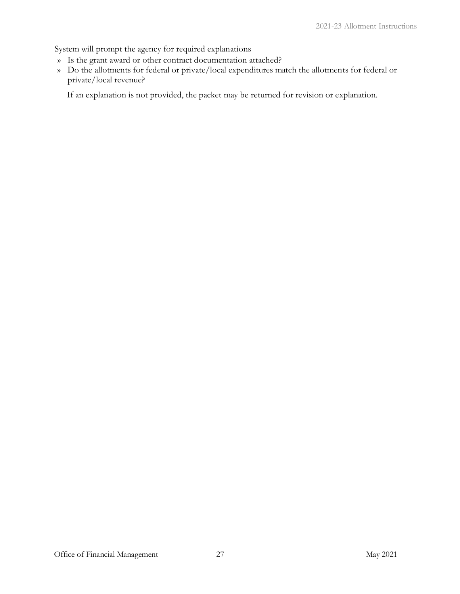System will prompt the agency for required explanations

- » Is the grant award or other contract documentation attached?
- » Do the allotments for federal or private/local expenditures match the allotments for federal or private/local revenue?

If an explanation is not provided, the packet may be returned for revision or explanation.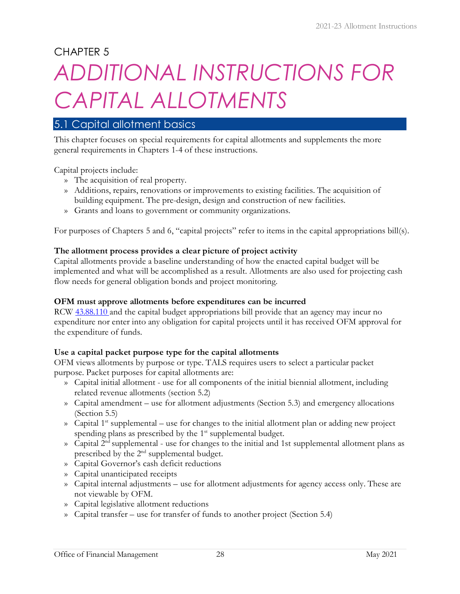CHAPTER 5

# <span id="page-30-0"></span>*ADDITIONAL INSTRUCTIONS FOR CAPITAL ALLOTMENTS* 5.1 Capital allotment basics

<span id="page-30-1"></span>This chapter focuses on special requirements for capital allotments and supplements the more general requirements in Chapters 1-4 of these instructions.

Capital projects include:

- » The acquisition of real property.
- » Additions, repairs, renovations or improvements to existing facilities. The acquisition of building equipment. The pre-design, design and construction of new facilities.
- » Grants and loans to government or community organizations.

For purposes of Chapters 5 and 6, "capital projects" refer to items in the capital appropriations bill(s).

#### **The allotment process provides a clear picture of project activity**

Capital allotments provide a baseline understanding of how the enacted capital budget will be implemented and what will be accomplished as a result. Allotments are also used for projecting cash flow needs for general obligation bonds and project monitoring.

#### **OFM must approve allotments before expenditures can be incurred**

RCW  $43.88.110$  and the capital budget appropriations bill provide that an agency may incur no expenditure nor enter into any obligation for capital projects until it has received OFM approval for the expenditure of funds.

#### **Use a capital packet purpose type for the capital allotments**

OFM views allotments by purpose or type. TALS requires users to select a particular packet purpose. Packet purposes for capital allotments are:

- » Capital initial allotment use for all components of the initial biennial allotment, including related revenue allotments (section 5.2)
- » Capital amendment use for allotment adjustments (Section 5.3) and emergency allocations (Section 5.5)
- » Capital 1<sup>st</sup> supplemental use for changes to the initial allotment plan or adding new project spending plans as prescribed by the 1<sup>st</sup> supplemental budget.
- $\infty$  Capital 2<sup>nd</sup> supplemental use for changes to the initial and 1st supplemental allotment plans as prescribed by the 2nd supplemental budget.
- » Capital Governor's cash deficit reductions
- » Capital unanticipated receipts
- » Capital internal adjustments use for allotment adjustments for agency access only. These are not viewable by OFM.
- » Capital legislative allotment reductions
- » Capital transfer use for transfer of funds to another project (Section 5.4)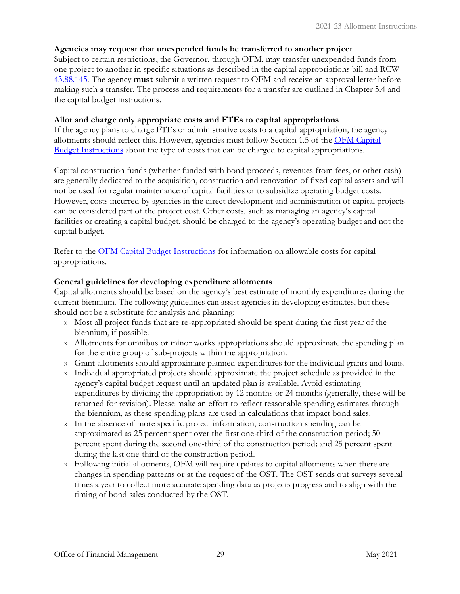#### **Agencies may request that unexpended funds be transferred to another project**

Subject to certain restrictions, the Governor, through OFM, may transfer unexpended funds from one project to another in specific situations as described in the capital appropriations bill and RCW [43.88.145.](https://app.leg.wa.gov/RCW/default.aspx?cite=43.88.145) The agency **must** submit a written request to OFM and receive an approval letter before making such a transfer. The process and requirements for a transfer are outlined in Chapter 5.4 and the capital budget instructions.

#### **Allot and charge only appropriate costs and FTEs to capital appropriations**

If the agency plans to charge FTEs or administrative costs to a capital appropriation, the agency allotments should reflect this. However, agencies must follow Section 1.5 of the [OFM Capital](https://ofm.wa.gov/sites/default/files/public/budget/instructions/capital/2021-23/2021-31CapitalBudInst.pdf)  [Budget Instructions](https://ofm.wa.gov/sites/default/files/public/budget/instructions/capital/2021-23/2021-31CapitalBudInst.pdf) about the type of costs that can be charged to capital appropriations.

Capital construction funds (whether funded with bond proceeds, revenues from fees, or other cash) are generally dedicated to the acquisition, construction and renovation of fixed capital assets and will not be used for regular maintenance of capital facilities or to subsidize operating budget costs. However, costs incurred by agencies in the direct development and administration of capital projects can be considered part of the project cost. Other costs, such as managing an agency's capital facilities or creating a capital budget, should be charged to the agency's operating budget and not the capital budget.

Re[f](http://www.ofm.wa.gov/budget/instructions/capital.asp)er to the <u>OFM Capital Budget Instructions</u> for information on allowable costs for capital appropriations.

#### **General guidelines for developing expenditure allotments**

Capital allotments should be based on the agency's best estimate of monthly expenditures during the current biennium. The following guidelines can assist agencies in developing estimates, but these should not be a substitute for analysis and planning:

- » Most all project funds that are re-appropriated should be spent during the first year of the biennium, if possible.
- » Allotments for omnibus or minor works appropriations should approximate the spending plan for the entire group of sub-projects within the appropriation.
- » Grant allotments should approximate planned expenditures for the individual grants and loans.
- » Individual appropriated projects should approximate the project schedule as provided in the agency's capital budget request until an updated plan is available. Avoid estimating expenditures by dividing the appropriation by 12 months or 24 months (generally, these will be returned for revision). Please make an effort to reflect reasonable spending estimates through the biennium, as these spending plans are used in calculations that impact bond sales.
- » In the absence of more specific project information, construction spending can be approximated as 25 percent spent over the first one-third of the construction period; 50 percent spent during the second one-third of the construction period; and 25 percent spent during the last one-third of the construction period.
- » Following initial allotments, OFM will require updates to capital allotments when there are changes in spending patterns or at the request of the OST. The OST sends out surveys several times a year to collect more accurate spending data as projects progress and to align with the timing of bond sales conducted by the OST.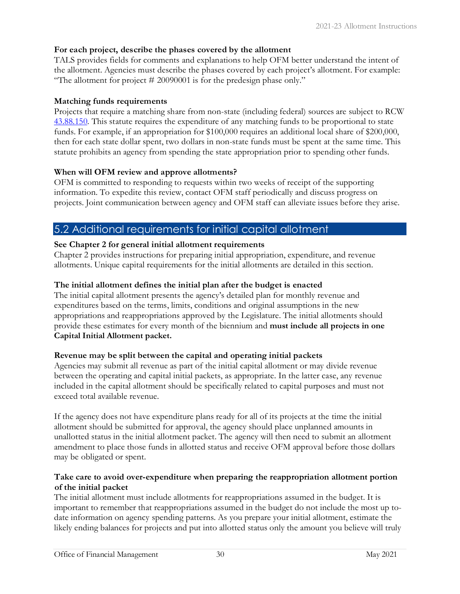#### **For each project, describe the phases covered by the allotment**

TALS provides fields for comments and explanations to help OFM better understand the intent of the allotment. Agencies must describe the phases covered by each project's allotment. For example: "The allotment for project # 20090001 is for the predesign phase only."

#### **Matching funds requirements**

Projects that require a matching share from non-state (including federal) sources are subject to RCW [43.88.150.](https://app.leg.wa.gov/RCW/default.aspx?cite=43.88.150) This statute requires the expenditure of any matching funds to be proportional to state funds. For example, if an appropriation for \$100,000 requires an additional local share of \$200,000, then for each state dollar spent, two dollars in non-state funds must be spent at the same time. This statute prohibits an agency from spending the state appropriation prior to spending other funds.

#### **When will OFM review and approve allotments?**

OFM is committed to responding to requests within two weeks of receipt of the supporting information. To expedite this review, contact OFM staff periodically and discuss progress on projects. Joint communication between agency and OFM staff can alleviate issues before they arise.

# <span id="page-32-0"></span>5.2 Additional requirements for initial capital allotment

#### **See Chapter 2 for general initial allotment requirements**

Chapter 2 provides instructions for preparing initial appropriation, expenditure, and revenue allotments. Unique capital requirements for the initial allotments are detailed in this section.

#### **The initial allotment defines the initial plan after the budget is enacted**

The initial capital allotment presents the agency's detailed plan for monthly revenue and expenditures based on the terms, limits, conditions and original assumptions in the new appropriations and reappropriations approved by the Legislature. The initial allotments should provide these estimates for every month of the biennium and **must include all projects in one Capital Initial Allotment packet.** 

#### **Revenue may be split between the capital and operating initial packets**

Agencies may submit all revenue as part of the initial capital allotment or may divide revenue between the operating and capital initial packets, as appropriate. In the latter case, any revenue included in the capital allotment should be specifically related to capital purposes and must not exceed total available revenue.

If the agency does not have expenditure plans ready for all of its projects at the time the initial allotment should be submitted for approval, the agency should place unplanned amounts in unallotted status in the initial allotment packet. The agency will then need to submit an allotment amendment to place those funds in allotted status and receive OFM approval before those dollars may be obligated or spent.

#### **Take care to avoid over-expenditure when preparing the reappropriation allotment portion of the initial packet**

The initial allotment must include allotments for reappropriations assumed in the budget. It is important to remember that reappropriations assumed in the budget do not include the most up todate information on agency spending patterns. As you prepare your initial allotment, estimate the likely ending balances for projects and put into allotted status only the amount you believe will truly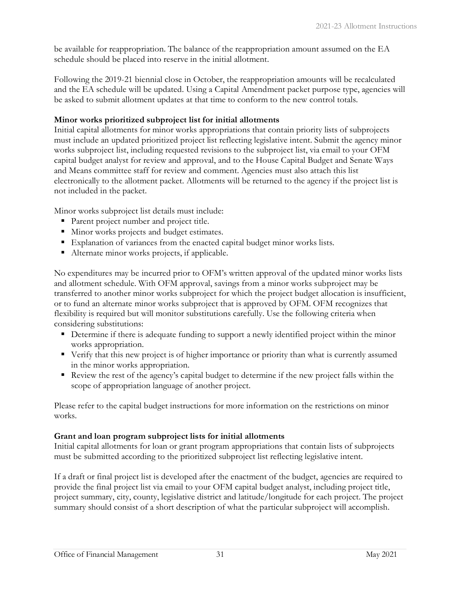be available for reappropriation. The balance of the reappropriation amount assumed on the EA schedule should be placed into reserve in the initial allotment.

Following the 2019-21 biennial close in October, the reappropriation amounts will be recalculated and the EA schedule will be updated. Using a Capital Amendment packet purpose type, agencies will be asked to submit allotment updates at that time to conform to the new control totals.

#### **Minor works prioritized subproject list for initial allotments**

Initial capital allotments for minor works appropriations that contain priority lists of subprojects must include an updated prioritized project list reflecting legislative intent. Submit the agency minor works subproject list, including requested revisions to the subproject list, via email to your OFM capital budget analyst for review and approval, and to the House Capital Budget and Senate Ways and Means committee staff for review and comment. Agencies must also attach this list electronically to the allotment packet. Allotments will be returned to the agency if the project list is not included in the packet.

Minor works subproject list details must include:

- Parent project number and project title.
- **Minor works projects and budget estimates.**
- Explanation of variances from the enacted capital budget minor works lists.
- Alternate minor works projects, if applicable.

No expenditures may be incurred prior to OFM's written approval of the updated minor works lists and allotment schedule. With OFM approval, savings from a minor works subproject may be transferred to another minor works subproject for which the project budget allocation is insufficient, or to fund an alternate minor works subproject that is approved by OFM. OFM recognizes that flexibility is required but will monitor substitutions carefully. Use the following criteria when considering substitutions:

- Determine if there is adequate funding to support a newly identified project within the minor works appropriation.
- Verify that this new project is of higher importance or priority than what is currently assumed in the minor works appropriation.
- Review the rest of the agency's capital budget to determine if the new project falls within the scope of appropriation language of another project.

Please refer to the capital budget instructions for more information on the restrictions on minor works.

#### **Grant and loan program subproject lists for initial allotments**

Initial capital allotments for loan or grant program appropriations that contain lists of subprojects must be submitted according to the prioritized subproject list reflecting legislative intent.

If a draft or final project list is developed after the enactment of the budget, agencies are required to provide the final project list via email to your OFM capital budget analyst, including project title, project summary, city, county, legislative district and latitude/longitude for each project. The project summary should consist of a short description of what the particular subproject will accomplish.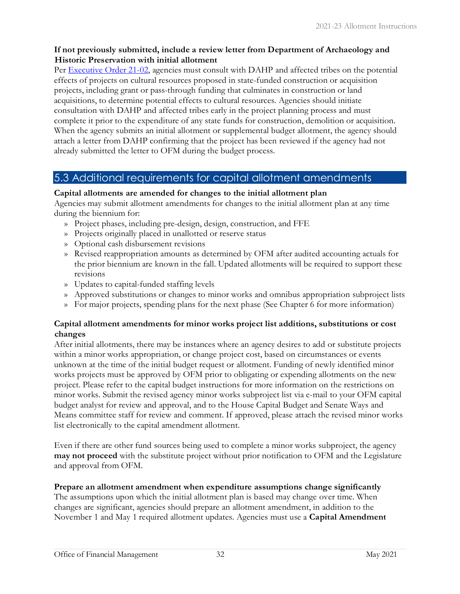#### **If not previously submitted, include a review letter from Department of Archaeology and Historic Preservation with initial allotment**

Per [Executive Order 21-02,](https://www.governor.wa.gov/sites/default/files/exe_order/eo_21-02.pdf) agencies must consult with DAHP and affected tribes on the potential effects of projects on cultural resources proposed in state-funded construction or acquisition projects, including grant or pass-through funding that culminates in construction or land acquisitions, to determine potential effects to cultural resources. Agencies should initiate consultation with DAHP and affected tribes early in the project planning process and must complete it prior to the expenditure of any state funds for construction, demolition or acquisition. When the agency submits an initial allotment or supplemental budget allotment, the agency should attach a letter from DAHP confirming that the project has been reviewed if the agency had not already submitted the letter to OFM during the budget process.

# <span id="page-34-0"></span>5.3 Additional requirements for capital allotment amendments

#### **Capital allotments are amended for changes to the initial allotment plan**

Agencies may submit allotment amendments for changes to the initial allotment plan at any time during the biennium for:

- » Project phases, including pre-design, design, construction, and FFE
- » Projects originally placed in unallotted or reserve status
- » Optional cash disbursement revisions
- » Revised reappropriation amounts as determined by OFM after audited accounting actuals for the prior biennium are known in the fall. Updated allotments will be required to support these revisions
- » Updates to capital-funded staffing levels
- » Approved substitutions or changes to minor works and omnibus appropriation subproject lists
- » For major projects, spending plans for the next phase (See Chapter 6 for more information)

#### **Capital allotment amendments for minor works project list additions, substitutions or cost changes**

After initial allotments, there may be instances where an agency desires to add or substitute projects within a minor works appropriation, or change project cost, based on circumstances or events unknown at the time of the initial budget request or allotment. Funding of newly identified minor works projects must be approved by OFM prior to obligating or expending allotments on the new project. Please refer to the capital budget instructions for more information on the restrictions on minor works. Submit the revised agency minor works subproject list via e-mail to your OFM capital budget analyst for review and approval, and to the House Capital Budget and Senate Ways and Means committee staff for review and comment. If approved, please attach the revised minor works list electronically to the capital amendment allotment.

Even if there are other fund sources being used to complete a minor works subproject, the agency **may not proceed** with the substitute project without prior notification to OFM and the Legislature and approval from OFM.

#### **Prepare an allotment amendment when expenditure assumptions change significantly**

The assumptions upon which the initial allotment plan is based may change over time. When changes are significant, agencies should prepare an allotment amendment, in addition to the November 1 and May 1 required allotment updates. Agencies must use a **Capital Amendment**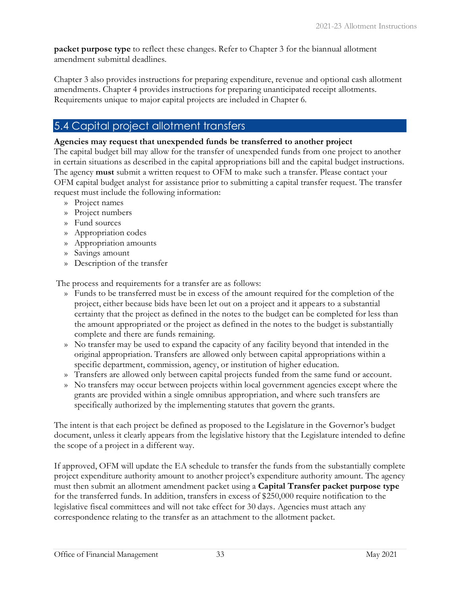**packet purpose type** to reflect these changes. Refer to Chapter 3 for the biannual allotment amendment submittal deadlines.

Chapter 3 also provides instructions for preparing expenditure, revenue and optional cash allotment amendments. Chapter 4 provides instructions for preparing unanticipated receipt allotments. Requirements unique to major capital projects are included in Chapter 6.

# <span id="page-35-0"></span>5.4 Capital project allotment transfers

#### **Agencies may request that unexpended funds be transferred to another project**

The capital budget bill may allow for the transfer of unexpended funds from one project to another in certain situations as described in the capital appropriations bill and the capital budget instructions. The agency **must** submit a written request to OFM to make such a transfer. Please contact your OFM capital budget analyst for assistance prior to submitting a capital transfer request. The transfer request must include the following information:

- » Project names
- » Project numbers
- » Fund sources
- » Appropriation codes
- » Appropriation amounts
- » Savings amount
- » Description of the transfer

The process and requirements for a transfer are as follows:

- » Funds to be transferred must be in excess of the amount required for the completion of the project, either because bids have been let out on a project and it appears to a substantial certainty that the project as defined in the notes to the budget can be completed for less than the amount appropriated or the project as defined in the notes to the budget is substantially complete and there are funds remaining.
- » No transfer may be used to expand the capacity of any facility beyond that intended in the original appropriation. Transfers are allowed only between capital appropriations within a specific department, commission, agency, or institution of higher education.
- » Transfers are allowed only between capital projects funded from the same fund or account.
- » No transfers may occur between projects within local government agencies except where the grants are provided within a single omnibus appropriation, and where such transfers are specifically authorized by the implementing statutes that govern the grants.

The intent is that each project be defined as proposed to the Legislature in the Governor's budget document, unless it clearly appears from the legislative history that the Legislature intended to define the scope of a project in a different way.

If approved, OFM will update the EA schedule to transfer the funds from the substantially complete project expenditure authority amount to another project's expenditure authority amount. The agency must then submit an allotment amendment packet using a **Capital Transfer packet purpose type** for the transferred funds. In addition, transfers in excess of \$250,000 require notification to the legislative fiscal committees and will not take effect for 30 days. Agencies must attach any correspondence relating to the transfer as an attachment to the allotment packet.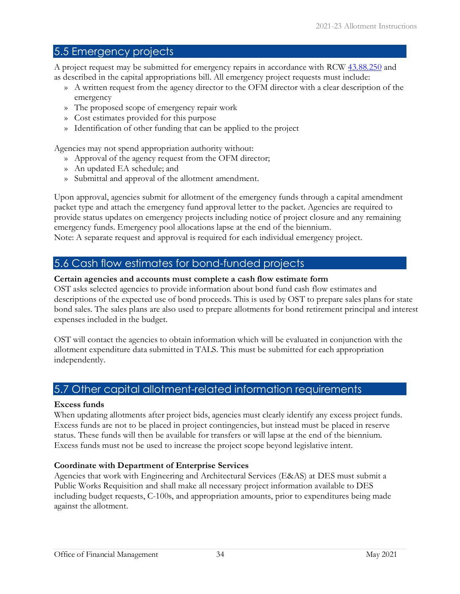# <span id="page-36-0"></span>5.5 Emergency projects

A project request may be submitted for emergency repairs in accordance with RCW [43.88.250](https://app.leg.wa.gov/RCW/default.aspx?cite=43.88.250) and as described in the capital appropriations bill. All emergency project requests must include:

- » A written request from the agency director to the OFM director with a clear description of the emergency
- » The proposed scope of emergency repair work
- » Cost estimates provided for this purpose
- » Identification of other funding that can be applied to the project

Agencies may not spend appropriation authority without:

- » Approval of the agency request from the OFM director;
- » An updated EA schedule; and
- » Submittal and approval of the allotment amendment.

Upon approval, agencies submit for allotment of the emergency funds through a capital amendment packet type and attach the emergency fund approval letter to the packet. Agencies are required to provide status updates on emergency projects including notice of project closure and any remaining emergency funds. Emergency pool allocations lapse at the end of the biennium. Note: A separate request and approval is required for each individual emergency project.

#### <span id="page-36-1"></span>5.6 Cash flow estimates for bond-funded projects

#### **Certain agencies and accounts must complete a cash flow estimate form**

OST asks selected agencies to provide information about bond fund cash flow estimates and descriptions of the expected use of bond proceeds. This is used by OST to prepare sales plans for state bond sales. The sales plans are also used to prepare allotments for bond retirement principal and interest expenses included in the budget.

OST will contact the agencies to obtain information which will be evaluated in conjunction with the allotment expenditure data submitted in TALS. This must be submitted for each appropriation independently.

### <span id="page-36-2"></span>5.7 Other capital allotment-related information requirements

#### **Excess funds**

When updating allotments after project bids, agencies must clearly identify any excess project funds. Excess funds are not to be placed in project contingencies, but instead must be placed in reserve status. These funds will then be available for transfers or will lapse at the end of the biennium. Excess funds must not be used to increase the project scope beyond legislative intent.

#### **Coordinate with Department of Enterprise Services**

Agencies that work with Engineering and Architectural Services (E&AS) at DES must submit a Public Works Requisition and shall make all necessary project information available to DES including budget requests, C-100s, and appropriation amounts, prior to expenditures being made against the allotment.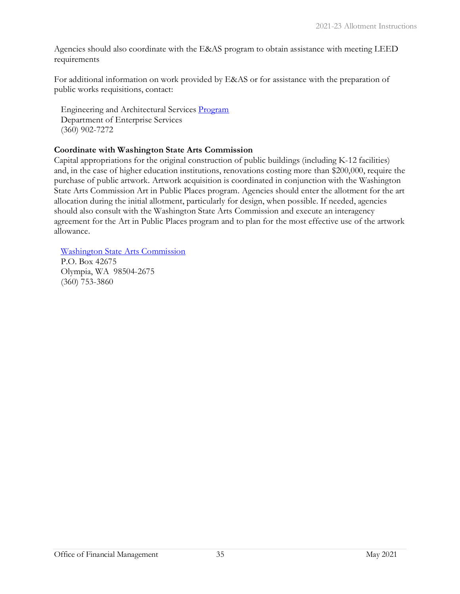Agencies should also coordinate with the E&AS program to obtain assistance with meeting LEED requirements

For additional information on work provided by E&AS or for assistance with the preparation of public works requisitions, contact:

Engineering and Architectural Services [Program](http://des.wa.gov/services/facilities/Construction/Pages/default.aspx) Department of Enterprise Services (360) 902-7272

#### **Coordinate with Washington State Arts Commission**

Capital appropriations for the original construction of public buildings (including K-12 facilities) and, in the case of higher education institutions, renovations costing more than \$200,000, require the purchase of public artwork. Artwork acquisition is coordinated in conjunction with the Washington State Arts Commission Art in Public Places program. Agencies should enter the allotment for the art allocation during the initial allotment, particularly for design, when possible. If needed, agencies should also consult with the Washington State Arts Commission and execute an interagency agreement for the Art in Public Places program and to plan for the most effective use of the artwork allowance.

[Washington State Arts Commission](http://www.arts.wa.gov/)

P.O. Box 42675 Olympia, WA 98504-2675 (360) 753-3860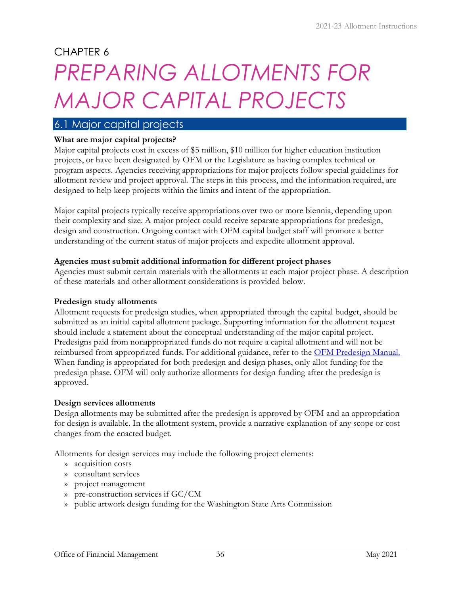# CHAPTER 6

# <span id="page-38-0"></span>*PREPARING ALLOTMENTS FOR MAJOR CAPITAL PROJECTS*

# <span id="page-38-1"></span>6.1 Major capital projects

#### **What are major capital projects?**

Major capital projects cost in excess of \$5 million, \$10 million for higher education institution projects, or have been designated by OFM or the Legislature as having complex technical or program aspects. Agencies receiving appropriations for major projects follow special guidelines for allotment review and project approval. The steps in this process, and the information required, are designed to help keep projects within the limits and intent of the appropriation.

Major capital projects typically receive appropriations over two or more biennia, depending upon their complexity and size. A major project could receive separate appropriations for predesign, design and construction. Ongoing contact with OFM capital budget staff will promote a better understanding of the current status of major projects and expedite allotment approval.

#### **Agencies must submit additional information for different project phases**

Agencies must submit certain materials with the allotments at each major project phase. A description of these materials and other allotment considerations is provided below.

#### **Predesign study allotments**

Allotment requests for predesign studies, when appropriated through the capital budget, should be submitted as an initial capital allotment package. Supporting information for the allotment request should include a statement about the conceptual understanding of the major capital project. Predesigns paid from nonappropriated funds do not require a capital allotment and will not be reimbursed from appropriated funds. For additional guidance, refer to the [OFM Predesign Manual.](https://ofm.wa.gov/sites/default/files/public/budget/instructions/capital/2021-23/2021-23Predesign.pdf) When funding is appropriated for both predesign and design phases, only allot funding for the predesign phase. OFM will only authorize allotments for design funding after the predesign is approved.

#### **Design services allotments**

Design allotments may be submitted after the predesign is approved by OFM and an appropriation for design is available. In the allotment system, provide a narrative explanation of any scope or cost changes from the enacted budget.

Allotments for design services may include the following project elements:

- » acquisition costs
- » consultant services
- » project management
- » pre-construction services if GC/CM
- » public artwork design funding for the Washington State Arts Commission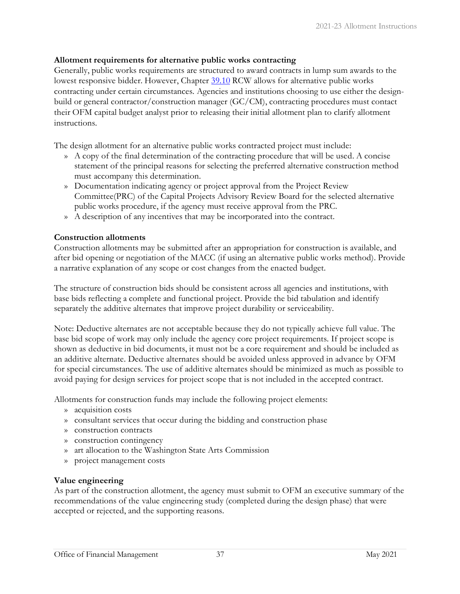#### **Allotment requirements for alternative public works contracting**

Generally, public works requirements are structured to award contracts in lump sum awards to the lowest responsive bidder. However, Chapter [39.10](https://app.leg.wa.gov/RCW/default.aspx?cite=39.10) RCW allows for alternative public works contracting under certain circumstances. Agencies and institutions choosing to use either the designbuild or general contractor/construction manager (GC/CM), contracting procedures must contact their OFM capital budget analyst prior to releasing their initial allotment plan to clarify allotment instructions.

The design allotment for an alternative public works contracted project must include:

- » A copy of the final determination of the contracting procedure that will be used. A concise statement of the principal reasons for selecting the preferred alternative construction method must accompany this determination.
- » Documentation indicating agency or project approval from the Project Review Committee(PRC) of the Capital Projects Advisory Review Board for the selected alternative public works procedure, if the agency must receive approval from the PRC.
- » A description of any incentives that may be incorporated into the contract.

#### **Construction allotments**

Construction allotments may be submitted after an appropriation for construction is available, and after bid opening or negotiation of the MACC (if using an alternative public works method). Provide a narrative explanation of any scope or cost changes from the enacted budget.

The structure of construction bids should be consistent across all agencies and institutions, with base bids reflecting a complete and functional project. Provide the bid tabulation and identify separately the additive alternates that improve project durability or serviceability.

Note: Deductive alternates are not acceptable because they do not typically achieve full value. The base bid scope of work may only include the agency core project requirements. If project scope is shown as deductive in bid documents, it must not be a core requirement and should be included as an additive alternate. Deductive alternates should be avoided unless approved in advance by OFM for special circumstances. The use of additive alternates should be minimized as much as possible to avoid paying for design services for project scope that is not included in the accepted contract.

Allotments for construction funds may include the following project elements:

- » acquisition costs
- » consultant services that occur during the bidding and construction phase
- » construction contracts
- » construction contingency
- » art allocation to the Washington State Arts Commission
- » project management costs

#### **Value engineering**

As part of the construction allotment, the agency must submit to OFM an executive summary of the recommendations of the value engineering study (completed during the design phase) that were accepted or rejected, and the supporting reasons.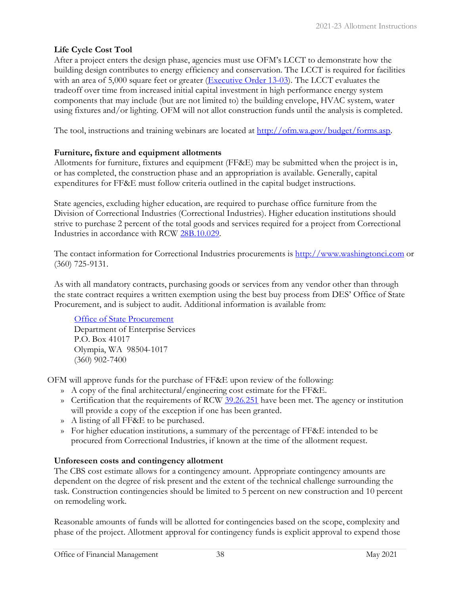#### **Life Cycle Cost Tool**

After a project enters the design phase, agencies must use OFM's LCCT to demonstrate how the building design contributes to energy efficiency and conservation. The LCCT is required for facilities with an area of 5,000 square feet or greater [\(Executive Order 13-03\)](http://governor.wa.gov/sites/default/files/exe_order/eo_13-03.pdf). The LCCT evaluates the tradeoff over time from increased initial capital investment in high performance energy system components that may include (but are not limited to) the building envelope, HVAC system, water using fixtures and/or lighting. OFM will not allot construction funds until the analysis is completed.

The tool, instructions and training webinars are located at [http://ofm.wa.gov/budget/forms.asp.](http://ofm.wa.gov/budget/forms.asp)

#### **Furniture, fixture and equipment allotments**

Allotments for furniture, fixtures and equipment (FF&E) may be submitted when the project is in, or has completed, the construction phase and an appropriation is available. Generally, capital expenditures for FF&E must follow criteria outlined in the capital budget instruction[s.](http://www.ofm.wa.gov/budget/instructions/capital.asp)

State agencies, excluding higher education, are required to purchase office furniture from the Division of Correctional Industries (Correctional Industries). Higher education institutions should strive to purchase 2 percent of the total goods and services required for a project from Correctional Industries in accordance with RCW [28B.10.029.](https://app.leg.wa.gov/RCW/default.aspx?cite=28B.10.029)

The contact information for Correctional Industries procurements is [http://www.washingtonci.com](http://www.washingtonci.com/) [o](http://www.washingtonci.com/)r (360) 725-9131.

As with all mandatory contracts, purchasing goods or services from any vendor other than through the state contract requires a written exemption using the best buy process from DES' Office of State Procurement, and is subject to audit. Additional information is available from:

[Office of State Procurement](http://des.wa.gov/services/ContractingPurchasing/Pages/default.aspx) Department of Enterprise Services P.O. Box 41017 Olympia, WA 98504-1017 (360) 902-7400

OFM will approve funds for the purchase of FF&E upon review of the following:

- » A copy of the final architectural/engineering cost estimate for the FF&E.
- » Certification that the requirements of RCW [39.26.251](https://app.leg.wa.gov/RCW/default.aspx?cite=39.26.251) have been met. The agency or institution will provide a copy of the exception if one has been granted.
- » A listing of all FF&E to be purchased.
- » For higher education institutions, a summary of the percentage of FF&E intended to be procured from Correctional Industries, if known at the time of the allotment request.

#### **Unforeseen costs and contingency allotment**

The CBS cost estimate allows for a contingency amount. Appropriate contingency amounts are dependent on the degree of risk present and the extent of the technical challenge surrounding the task. Construction contingencies should be limited to 5 percent on new construction and 10 percent on remodeling work.

Reasonable amounts of funds will be allotted for contingencies based on the scope, complexity and phase of the project. Allotment approval for contingency funds is explicit approval to expend those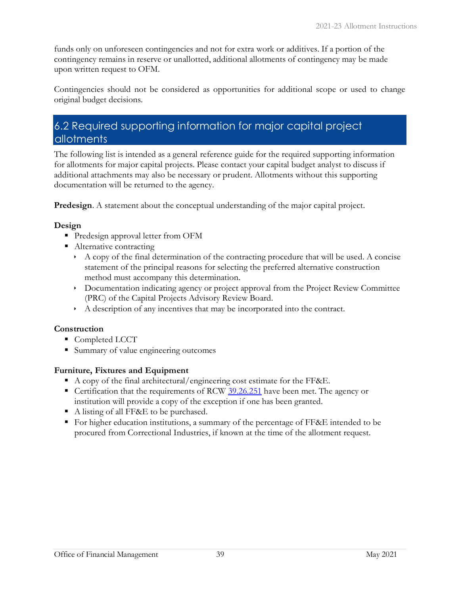funds only on unforeseen contingencies and not for extra work or additives. If a portion of the contingency remains in reserve or unallotted, additional allotments of contingency may be made upon written request to OFM.

Contingencies should not be considered as opportunities for additional scope or used to change original budget decisions.

# <span id="page-41-0"></span>6.2 Required supporting information for major capital project allotments

The following list is intended as a general reference guide for the required supporting information for allotments for major capital projects. Please contact your capital budget analyst to discuss if additional attachments may also be necessary or prudent. Allotments without this supporting documentation will be returned to the agency.

**Predesign**. A statement about the conceptual understanding of the major capital project.

#### **Design**

- Predesign approval letter from OFM
- Alternative contracting
	- $\rightarrow$  A copy of the final determination of the contracting procedure that will be used. A concise statement of the principal reasons for selecting the preferred alternative construction method must accompany this determination.
	- Documentation indicating agency or project approval from the Project Review Committee (PRC) of the Capital Projects Advisory Review Board.
	- A description of any incentives that may be incorporated into the contract.

#### **Construction**

- Completed LCCT
- Summary of value engineering outcomes

#### **Furniture, Fixtures and Equipment**

- A copy of the final architectural/engineering cost estimate for the FF&E.
- Certification that the requirements of RCW [39.26.251](https://app.leg.wa.gov/RCW/default.aspx?cite=39.26.251) have been met. The agency or institution will provide a copy of the exception if one has been granted.
- A listing of all FF&E to be purchased.
- For higher education institutions, a summary of the percentage of FF&E intended to be procured from Correctional Industries, if known at the time of the allotment request.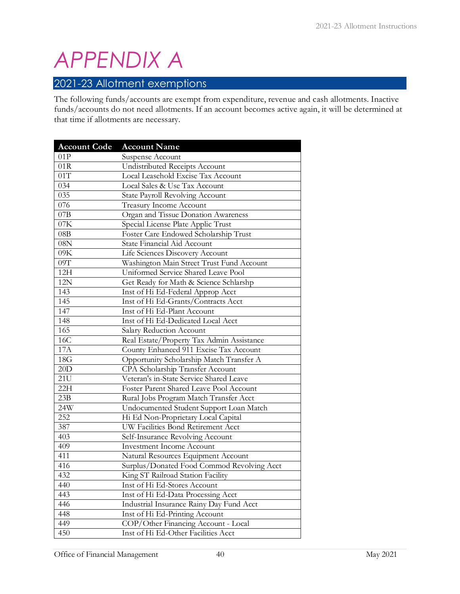# <span id="page-42-0"></span>*APPENDIX A*

# <span id="page-42-1"></span>2021-23 Allotment exemptions

The following funds/accounts are exempt from expenditure, revenue and cash allotments. Inactive funds/accounts do not need allotments. If an account becomes active again, it will be determined at that time if allotments are necessary.

| <b>Account Code</b> | <b>Account Name</b>                        |
|---------------------|--------------------------------------------|
| 01P                 | Suspense Account                           |
| 01R                 | Undistributed Receipts Account             |
| 01T                 | Local Leasehold Excise Tax Account         |
| 034                 | Local Sales & Use Tax Account              |
| 035                 | State Payroll Revolving Account            |
| 076                 | Treasury Income Account                    |
| 07B                 | Organ and Tissue Donation Awareness        |
| 07K                 | Special License Plate Applic Trust         |
| 08B                 | Foster Care Endowed Scholarship Trust      |
| 08N                 | State Financial Aid Account                |
| 09K                 | Life Sciences Discovery Account            |
| 09T                 | Washington Main Street Trust Fund Account  |
| 12H                 | Uniformed Service Shared Leave Pool        |
| 12N                 | Get Ready for Math & Science Schlarshp     |
| 143                 | Inst of Hi Ed-Federal Approp Acct          |
| 145                 | Inst of Hi Ed-Grants/Contracts Acct        |
| 147                 | Inst of Hi Ed-Plant Account                |
| 148                 | Inst of Hi Ed-Dedicated Local Acct         |
| 165                 | Salary Reduction Account                   |
| 16C                 | Real Estate/Property Tax Admin Assistance  |
| <b>17A</b>          | County Enhanced 911 Excise Tax Account     |
| 18G                 | Opportunity Scholarship Match Transfer A   |
| 20D                 | CPA Scholarship Transfer Account           |
| 21U                 | Veteran's in-State Service Shared Leave    |
| 22H                 | Foster Parent Shared Leave Pool Account    |
| 23B                 | Rural Jobs Program Match Transfer Acct     |
| 24W                 | Undocumented Student Support Loan Match    |
| 252                 | Hi Ed Non-Proprietary Local Capital        |
| 387                 | UW Facilities Bond Retirement Acct         |
| 403                 | Self-Insurance Revolving Account           |
| 409                 | <b>Investment Income Account</b>           |
| 411                 | Natural Resources Equipment Account        |
| 416                 | Surplus/Donated Food Commod Revolving Acct |
| 432                 | King ST Railroad Station Facility          |
| 440                 | Inst of Hi Ed-Stores Account               |
| 443                 | Inst of Hi Ed-Data Processing Acct         |
| 446                 | Industrial Insurance Rainy Day Fund Acct   |
| 448                 | Inst of Hi Ed-Printing Account             |
| 449                 | COP/Other Financing Account - Local        |
| 450                 | Inst of Hi Ed-Other Facilities Acct        |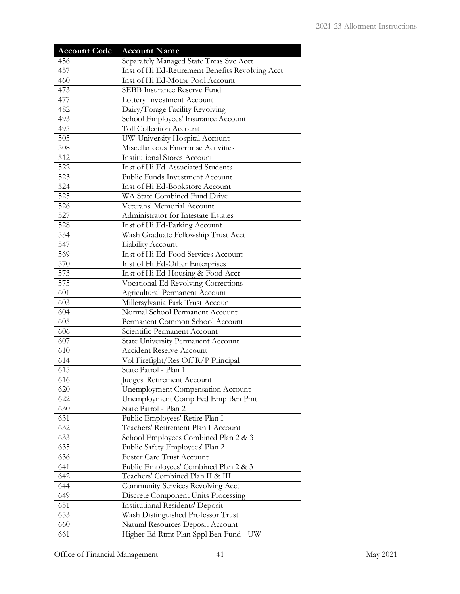| <b>Account Code</b> | <b>Account Name</b>                              |
|---------------------|--------------------------------------------------|
| 456                 | Separately Managed State Treas Svc Acct          |
| 457                 | Inst of Hi Ed-Retirement Benefits Revolving Acct |
| 460                 | Inst of Hi Ed-Motor Pool Account                 |
| 473                 | SEBB Insurance Reserve Fund                      |
| 477                 | Lottery Investment Account                       |
| 482                 | Dairy/Forage Facility Revolving                  |
| 493                 | School Employees' Insurance Account              |
| 495                 | <b>Toll Collection Account</b>                   |
| 505                 | UW-University Hospital Account                   |
| 508                 | Miscellaneous Enterprise Activities              |
| 512                 | <b>Institutional Stores Account</b>              |
| 522                 | Inst of Hi Ed-Associated Students                |
| 523                 | Public Funds Investment Account                  |
| 524                 | Inst of Hi Ed-Bookstore Account                  |
| 525                 | WA State Combined Fund Drive                     |
| 526                 | Veterans' Memorial Account                       |
| 527                 | Administrator for Intestate Estates              |
| 528                 | Inst of Hi Ed-Parking Account                    |
| 534                 | Wash Graduate Fellowship Trust Acct              |
| 547                 | Liability Account                                |
| 569                 | Inst of Hi Ed-Food Services Account              |
| 570                 | Inst of Hi Ed-Other Enterprises                  |
| 573                 | Inst of Hi Ed-Housing & Food Acct                |
| 575                 | Vocational Ed Revolving-Corrections              |
| 601                 | <b>Agricultural Permanent Account</b>            |
| 603                 | Millersylvania Park Trust Account                |
| 604                 | Normal School Permanent Account                  |
| 605                 | Permanent Common School Account                  |
| 606                 | Scientific Permanent Account                     |
| 607                 | <b>State University Permanent Account</b>        |
| 610                 | Accident Reserve Account                         |
| 614                 | Vol Firefight/Res Off R/P Principal              |
| 615                 | State Patrol - Plan 1                            |
| 616                 | Judges' Retirement Account                       |
| 620                 | <b>Unemployment Compensation Account</b>         |
| 622                 | Unemployment Comp Fed Emp Ben Pmt                |
| 630                 | State Patrol - Plan 2                            |
| 631                 | Public Employees' Retire Plan I                  |
| 632                 | Teachers' Retirement Plan I Account              |
| 633                 | School Employees Combined Plan 2 & 3             |
| 635                 | Public Safety Employees' Plan 2                  |
| 636                 | Foster Care Trust Account                        |
| 641                 | Public Employees' Combined Plan 2 & 3            |
| 642                 | Teachers' Combined Plan II & III                 |
| 644                 | Community Services Revolving Acct                |
| 649                 | Discrete Component Units Processing              |
| 651                 | <b>Institutional Residents' Deposit</b>          |
| 653                 | Wash Distinguished Professor Trust               |
| 660                 | Natural Resources Deposit Account                |
| 661                 | Higher Ed Rtmt Plan Sppl Ben Fund - UW           |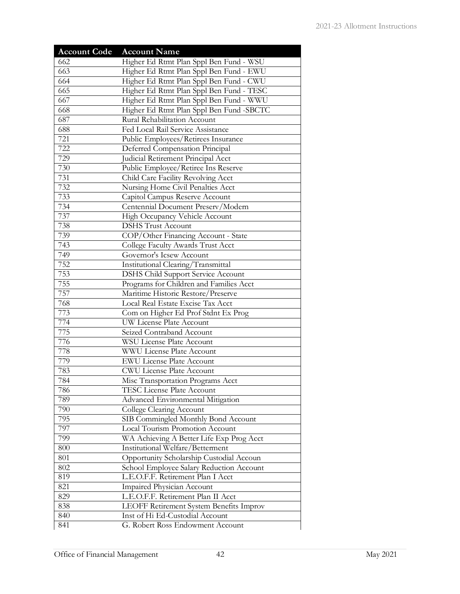| <b>Account Code</b> | <b>Account Name</b>                                                           |
|---------------------|-------------------------------------------------------------------------------|
| 662                 | Higher Ed Rtmt Plan Sppl Ben Fund - WSU                                       |
| 663                 | Higher Ed Rtmt Plan Sppl Ben Fund - EWU                                       |
| 664                 | Higher Ed Rtmt Plan Sppl Ben Fund - CWU                                       |
| 665                 | Higher Ed Rtmt Plan Sppl Ben Fund - TESC                                      |
| 667                 | Higher Ed Rtmt Plan Sppl Ben Fund - WWU                                       |
| 668                 | Higher Ed Rtmt Plan Sppl Ben Fund -SBCTC                                      |
| 687                 | Rural Rehabilitation Account                                                  |
| 688                 | Fed Local Rail Service Assistance                                             |
| 721                 | Public Employees/Retirees Insurance                                           |
| 722                 | Deferred Compensation Principal                                               |
| 729                 | Judicial Retirement Principal Acct                                            |
| 730                 | Public Employee/Retiree Ins Reserve                                           |
| 731                 | Child Care Facility Revolving Acct                                            |
| 732                 | Nursing Home Civil Penalties Acct                                             |
| 733                 | Capitol Campus Reserve Account                                                |
| 734                 | Centennial Document Preserv/Modern                                            |
| 737                 | High Occupancy Vehicle Account                                                |
| 738                 | <b>DSHS Trust Account</b>                                                     |
| 739                 | COP/Other Financing Account - State                                           |
| 743                 | College Faculty Awards Trust Acct                                             |
| 749                 | Governor's Icsew Account                                                      |
| 752                 | Institutional Clearing/Transmittal                                            |
| 753                 | <b>DSHS Child Support Service Account</b>                                     |
| 755                 | Programs for Children and Families Acct                                       |
| 757                 | Maritime Historic Restore/Preserve                                            |
| 768                 | Local Real Estate Excise Tax Acct                                             |
| 773                 | Com on Higher Ed Prof Stdnt Ex Prog                                           |
| 774                 | UW License Plate Account                                                      |
| 775                 | Seized Contraband Account                                                     |
| 776                 | <b>WSU License Plate Account</b>                                              |
| 778                 | <b>WWU License Plate Account</b>                                              |
| 779                 | <b>EWU License Plate Account</b>                                              |
| 783                 | CWU License Plate Account                                                     |
| 784                 | Misc Transportation Programs Acct                                             |
| 786                 | TESC License Plate Account                                                    |
| 789                 | Advanced Environmental Mitigation                                             |
| 790                 | College Clearing Account                                                      |
| 795                 | SIB Commingled Monthly Bond Account                                           |
| 797                 | <b>Local Tourism Promotion Account</b>                                        |
| 799                 | WA Achieving A Better Life Exp Prog Acct                                      |
| 800                 | Institutional Welfare/Betterment                                              |
| 801                 | Opportunity Scholarship Custodial Accoun                                      |
| 802                 | School Employee Salary Reduction Account<br>L.E.O.F.F. Retirement Plan I Acct |
| 819                 |                                                                               |
| 821                 | Impaired Physician Account                                                    |
| 829<br>838          | L.E.O.F.F. Retirement Plan II Acct                                            |
| 840                 | LEOFF Retirement System Benefits Improv<br>Inst of Hi Ed-Custodial Account    |
| 841                 | G. Robert Ross Endowment Account                                              |
|                     |                                                                               |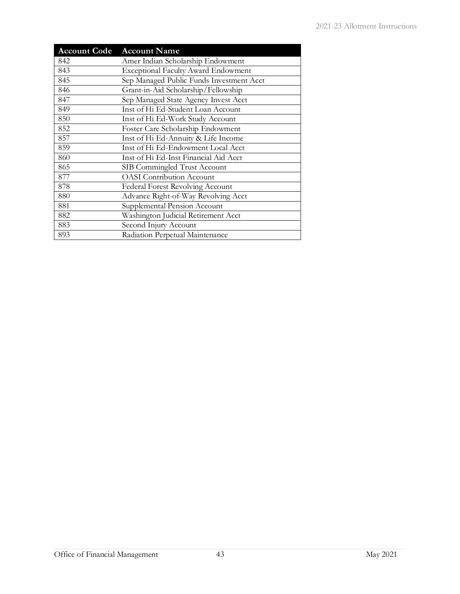| <b>Account Code</b> | <b>Account Name</b>                        |
|---------------------|--------------------------------------------|
| 842                 | Amer Indian Scholarship Endowment          |
| 843                 | <b>Exceptional Faculty Award Endowment</b> |
| 845                 | Sep Managed Public Funds Investment Acct   |
| 846                 | Grant-in-Aid Scholarship/Fellowship        |
| 847                 | Sep Managed State Agency Invest Acct       |
| 849                 | Inst of Hi Ed-Student Loan Account         |
| 850                 | Inst of Hi Ed-Work Study Account           |
| 852                 | Foster Care Scholarship Endowment          |
| 857                 | Inst of Hi Ed-Annuity & Life Income        |
| 859                 | Inst of Hi Ed-Endowment Local Acct         |
| 860                 | Inst of Hi Ed-Inst Financial Aid Acct      |
| 865                 | SIB Commingled Trust Account               |
| 877                 | <b>OASI</b> Contribution Account           |
| 878                 | Federal Forest Revolving Account           |
| 880                 | Advance Right-of-Way Revolving Acct        |
| 881                 | Supplemental Pension Account               |
| 882                 | Washington Judicial Retirement Acct        |
| 883                 | Second Injury Account                      |
| 893                 | Radiation Perpetual Maintenance            |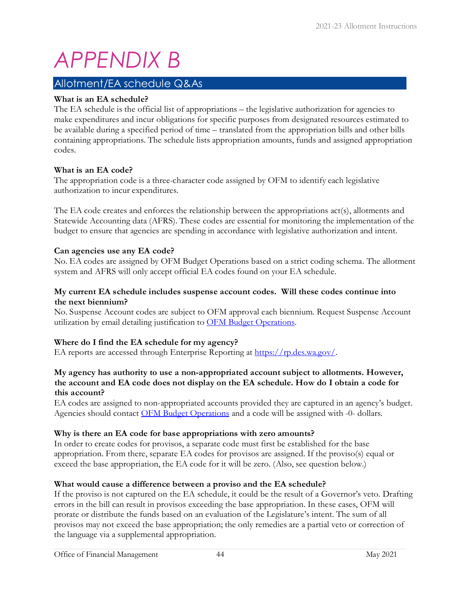# <span id="page-46-0"></span>*APPENDIX B*

# <span id="page-46-1"></span>Allotment/EA schedule Q&As

#### **What is an EA schedule?**

The EA schedule is the official list of appropriations – the legislative authorization for agencies to make expenditures and incur obligations for specific purposes from designated resources estimated to be available during a specified period of time – translated from the appropriation bills and other bills containing appropriations. The schedule lists appropriation amounts, funds and assigned appropriation codes.

#### **What is an EA code?**

The appropriation code is a three-character code assigned by OFM to identify each legislative authorization to incur expenditures.

The EA code creates and enforces the relationship between the appropriations act(s), allotments and Statewide Accounting data (AFRS). These codes are essential for monitoring the implementation of the budget to ensure that agencies are spending in accordance with legislative authorization and intent.

#### **Can agencies use any EA code?**

No. EA codes are assigned by OFM Budget Operations based on a strict coding schema. The allotment system and AFRS will only accept official EA codes found on your EA schedule.

#### **My current EA schedule includes suspense account codes. Will these codes continue into the next biennium?**

No. Suspense Account codes are subject to OFM approval each biennium. Request Suspense Account utilization by email detailing justification to OFM Budget Operations.

#### **Where do I find the EA schedule for my agency?**

EA reports are accessed through Enterprise Reporting at [https://rp.des.wa.gov/.](https://rp.des.wa.gov/) 

#### **My agency has authority to use a non-appropriated account subject to allotments. However, the account and EA code does not display on the EA schedule. How do I obtain a code for this account?**

EA codes are assigned to non-appropriated accounts provided they are captured in an agency's budget. Agencies should contact [OFM Budget Operations](mailto:budget.operations@ofm.wa.gov) and a code will be assigned with -0- dollars.

#### **Why is there an EA code for base appropriations with zero amounts?**

In order to create codes for provisos, a separate code must first be established for the base appropriation. From there, separate EA codes for provisos are assigned. If the proviso(s) equal or exceed the base appropriation, the EA code for it will be zero. (Also, see question below.)

#### **What would cause a difference between a proviso and the EA schedule?**

If the proviso is not captured on the EA schedule, it could be the result of a Governor's veto. Drafting errors in the bill can result in provisos exceeding the base appropriation. In these cases, OFM will prorate or distribute the funds based on an evaluation of the Legislature's intent. The sum of all provisos may not exceed the base appropriation; the only remedies are a partial veto or correction of the language via a supplemental appropriation.